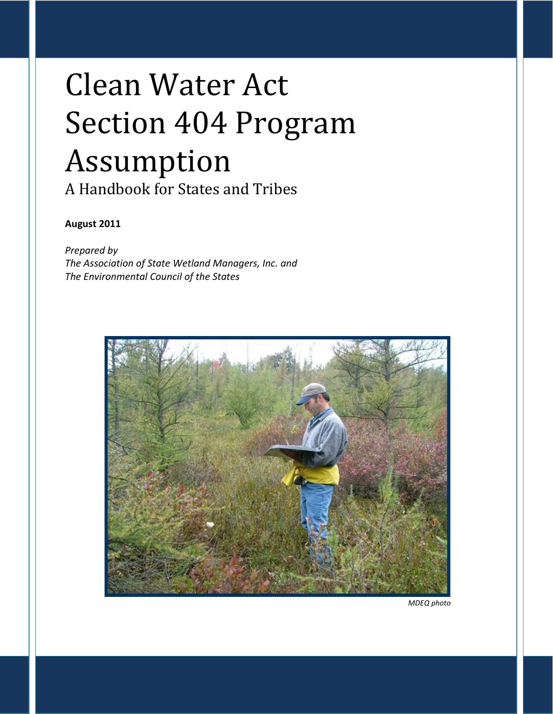# Clean Water Act Section 404 Program Assumption

A Handbook for States and Tribes

# **August 2011**

*Prepared by The Association of State Wetland Managers, Inc. and The Environmental Council of the States*

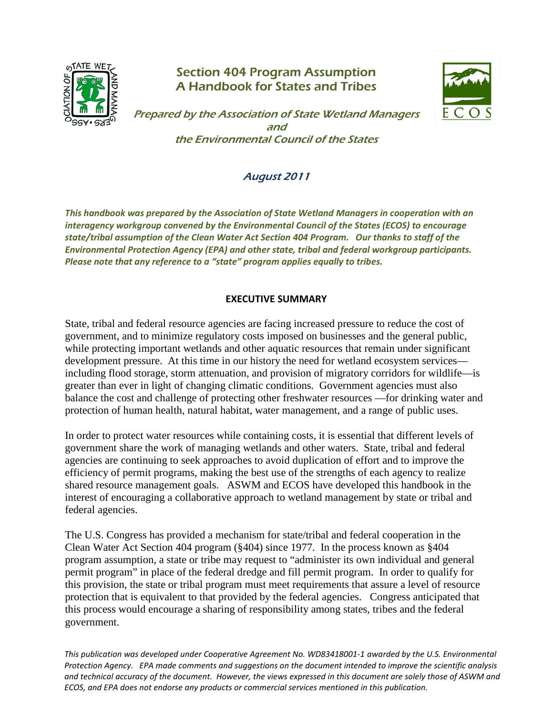

# Section 404 Program Assumption A Handbook for States and Tribes



Prepared by the Association of State Wetland Managers and the Environmental Council of the States

# August 2011

*This handbook was prepared by the Association of State Wetland Managers in cooperation with an interagency workgroup convened by the Environmental Council of the States (ECOS) to encourage state/tribal assumption of the Clean Water Act Section 404 Program. Our thanks to staff of the Environmental Protection Agency (EPA) and other state, tribal and federal workgroup participants. Please note that any reference to a "state" program applies equally to tribes.* 

## **EXECUTIVE SUMMARY**

State, tribal and federal resource agencies are facing increased pressure to reduce the cost of government, and to minimize regulatory costs imposed on businesses and the general public, while protecting important wetlands and other aquatic resources that remain under significant development pressure. At this time in our history the need for wetland ecosystem services including flood storage, storm attenuation, and provision of migratory corridors for wildlife—is greater than ever in light of changing climatic conditions. Government agencies must also balance the cost and challenge of protecting other freshwater resources —for drinking water and protection of human health, natural habitat, water management, and a range of public uses.

In order to protect water resources while containing costs, it is essential that different levels of government share the work of managing wetlands and other waters. State, tribal and federal agencies are continuing to seek approaches to avoid duplication of effort and to improve the efficiency of permit programs, making the best use of the strengths of each agency to realize shared resource management goals. ASWM and ECOS have developed this handbook in the interest of encouraging a collaborative approach to wetland management by state or tribal and federal agencies.

The U.S. Congress has provided a mechanism for state/tribal and federal cooperation in the Clean Water Act Section 404 program (§404) since 1977. In the process known as §404 program assumption, a state or tribe may request to "administer its own individual and general permit program" in place of the federal dredge and fill permit program. In order to qualify for this provision, the state or tribal program must meet requirements that assure a level of resource protection that is equivalent to that provided by the federal agencies. Congress anticipated that this process would encourage a sharing of responsibility among states, tribes and the federal government.

1 *This publication was developed under Cooperative Agreement No. WD83418001-1 awarded by the U.S. Environmental Protection Agency. EPA made comments and suggestions on the document intended to improve the scientific analysis and technical accuracy of the document. However, the views expressed in this document are solely those of ASWM and ECOS, and EPA does not endorse any products or commercial services mentioned in this publication.*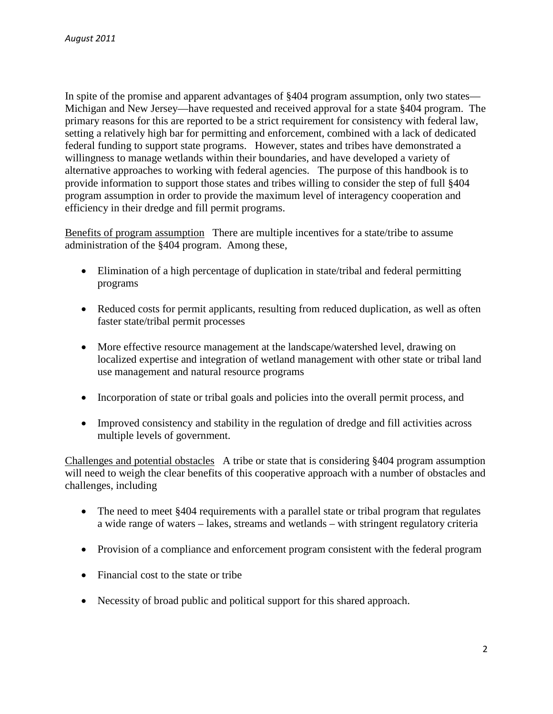In spite of the promise and apparent advantages of §404 program assumption, only two states— Michigan and New Jersey—have requested and received approval for a state §404 program. The primary reasons for this are reported to be a strict requirement for consistency with federal law, setting a relatively high bar for permitting and enforcement, combined with a lack of dedicated federal funding to support state programs. However, states and tribes have demonstrated a willingness to manage wetlands within their boundaries, and have developed a variety of alternative approaches to working with federal agencies. The purpose of this handbook is to provide information to support those states and tribes willing to consider the step of full §404 program assumption in order to provide the maximum level of interagency cooperation and efficiency in their dredge and fill permit programs.

Benefits of program assumption There are multiple incentives for a state/tribe to assume administration of the §404 program. Among these,

- Elimination of a high percentage of duplication in state/tribal and federal permitting programs
- Reduced costs for permit applicants, resulting from reduced duplication, as well as often faster state/tribal permit processes
- More effective resource management at the landscape/watershed level, drawing on localized expertise and integration of wetland management with other state or tribal land use management and natural resource programs
- Incorporation of state or tribal goals and policies into the overall permit process, and
- Improved consistency and stability in the regulation of dredge and fill activities across multiple levels of government.

Challenges and potential obstacles A tribe or state that is considering §404 program assumption will need to weigh the clear benefits of this cooperative approach with a number of obstacles and challenges, including

- The need to meet §404 requirements with a parallel state or tribal program that regulates a wide range of waters – lakes, streams and wetlands – with stringent regulatory criteria
- Provision of a compliance and enforcement program consistent with the federal program
- Financial cost to the state or tribe
- Necessity of broad public and political support for this shared approach.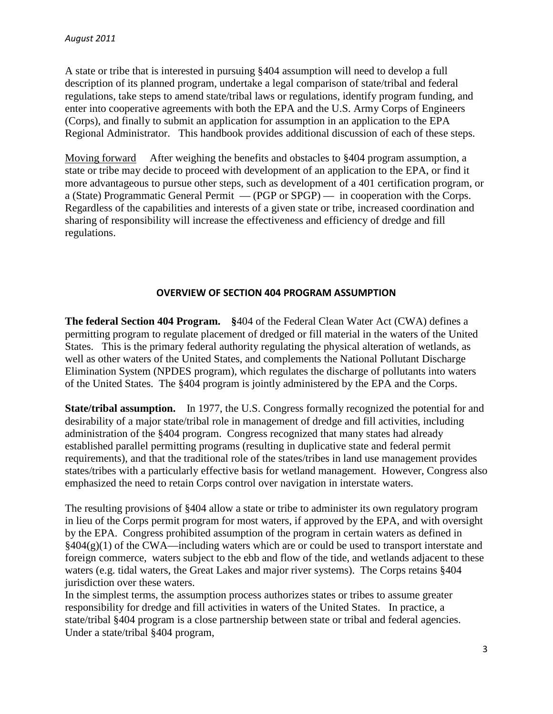A state or tribe that is interested in pursuing §404 assumption will need to develop a full description of its planned program, undertake a legal comparison of state/tribal and federal regulations, take steps to amend state/tribal laws or regulations, identify program funding, and enter into cooperative agreements with both the EPA and the U.S. Army Corps of Engineers (Corps), and finally to submit an application for assumption in an application to the EPA Regional Administrator. This handbook provides additional discussion of each of these steps.

Moving forward After weighing the benefits and obstacles to §404 program assumption, a state or tribe may decide to proceed with development of an application to the EPA, or find it more advantageous to pursue other steps, such as development of a 401 certification program, or a (State) Programmatic General Permit — (PGP or SPGP) — in cooperation with the Corps. Regardless of the capabilities and interests of a given state or tribe, increased coordination and sharing of responsibility will increase the effectiveness and efficiency of dredge and fill regulations.

#### **OVERVIEW OF SECTION 404 PROGRAM ASSUMPTION**

**The federal Section 404 Program. §**404 of the Federal Clean Water Act (CWA) defines a permitting program to regulate placement of dredged or fill material in the waters of the United States. This is the primary federal authority regulating the physical alteration of wetlands, as well as other waters of the United States, and complements the National Pollutant Discharge Elimination System (NPDES program), which regulates the discharge of pollutants into waters of the United States. The §404 program is jointly administered by the EPA and the Corps.

**State/tribal assumption.** In 1977, the U.S. Congress formally recognized the potential for and desirability of a major state/tribal role in management of dredge and fill activities, including administration of the §404 program. Congress recognized that many states had already established parallel permitting programs (resulting in duplicative state and federal permit requirements), and that the traditional role of the states/tribes in land use management provides states/tribes with a particularly effective basis for wetland management. However, Congress also emphasized the need to retain Corps control over navigation in interstate waters.

The resulting provisions of §404 allow a state or tribe to administer its own regulatory program in lieu of the Corps permit program for most waters, if approved by the EPA, and with oversight by the EPA. Congress prohibited assumption of the program in certain waters as defined in  $§404(g)(1)$  of the CWA—including waters which are or could be used to transport interstate and foreign commerce, waters subject to the ebb and flow of the tide, and wetlands adjacent to these waters (e.g. tidal waters, the Great Lakes and major river systems). The Corps retains §404 jurisdiction over these waters.

In the simplest terms, the assumption process authorizes states or tribes to assume greater responsibility for dredge and fill activities in waters of the United States. In practice, a state/tribal §404 program is a close partnership between state or tribal and federal agencies. Under a state/tribal §404 program,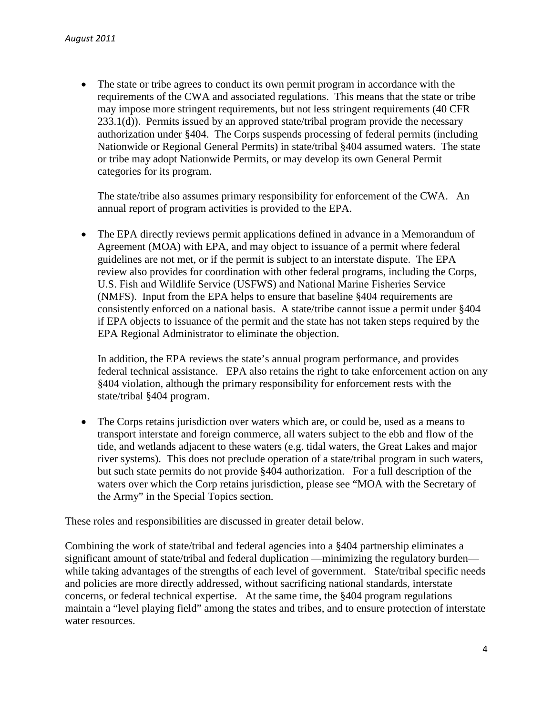• The state or tribe agrees to conduct its own permit program in accordance with the requirements of the CWA and associated regulations. This means that the state or tribe may impose more stringent requirements, but not less stringent requirements (40 CFR 233.1(d)). Permits issued by an approved state/tribal program provide the necessary authorization under §404. The Corps suspends processing of federal permits (including Nationwide or Regional General Permits) in state/tribal §404 assumed waters. The state or tribe may adopt Nationwide Permits, or may develop its own General Permit categories for its program.

The state/tribe also assumes primary responsibility for enforcement of the CWA. An annual report of program activities is provided to the EPA.

• The EPA directly reviews permit applications defined in advance in a Memorandum of Agreement (MOA) with EPA, and may object to issuance of a permit where federal guidelines are not met, or if the permit is subject to an interstate dispute. The EPA review also provides for coordination with other federal programs, including the Corps, U.S. Fish and Wildlife Service (USFWS) and National Marine Fisheries Service (NMFS). Input from the EPA helps to ensure that baseline §404 requirements are consistently enforced on a national basis. A state/tribe cannot issue a permit under §404 if EPA objects to issuance of the permit and the state has not taken steps required by the EPA Regional Administrator to eliminate the objection.

In addition, the EPA reviews the state's annual program performance, and provides federal technical assistance. EPA also retains the right to take enforcement action on any §404 violation, although the primary responsibility for enforcement rests with the state/tribal §404 program.

The Corps retains jurisdiction over waters which are, or could be, used as a means to transport interstate and foreign commerce, all waters subject to the ebb and flow of the tide, and wetlands adjacent to these waters (e.g. tidal waters, the Great Lakes and major river systems). This does not preclude operation of a state/tribal program in such waters, but such state permits do not provide §404 authorization. For a full description of the waters over which the Corp retains jurisdiction, please see "MOA with the Secretary of the Army" in the Special Topics section.

These roles and responsibilities are discussed in greater detail below.

Combining the work of state/tribal and federal agencies into a §404 partnership eliminates a significant amount of state/tribal and federal duplication —minimizing the regulatory burden while taking advantages of the strengths of each level of government. State/tribal specific needs and policies are more directly addressed, without sacrificing national standards, interstate concerns, or federal technical expertise. At the same time, the §404 program regulations maintain a "level playing field" among the states and tribes, and to ensure protection of interstate water resources.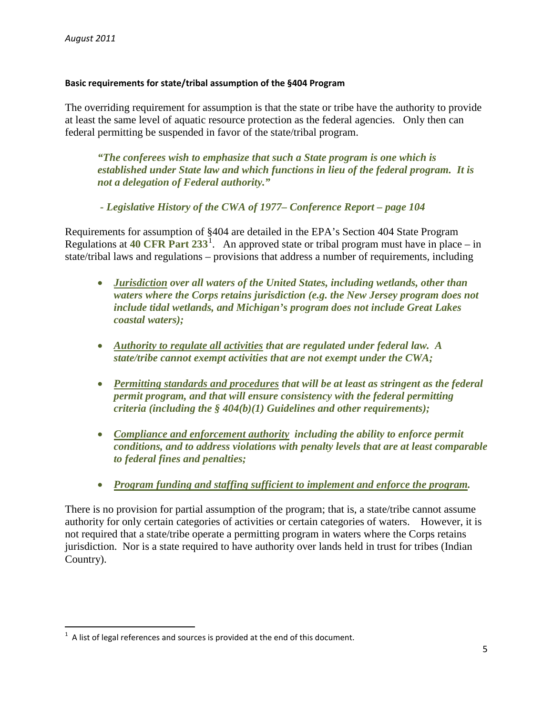#### **Basic requirements for state/tribal assumption of the §404 Program**

The overriding requirement for assumption is that the state or tribe have the authority to provide at least the same level of aquatic resource protection as the federal agencies. Only then can federal permitting be suspended in favor of the state/tribal program.

*"The conferees wish to emphasize that such a State program is one which is established under State law and which functions in lieu of the federal program. It is not a delegation of Federal authority."* 

*- Legislative History of the CWA of 1977– Conference Report – page 104*

Requirements for assumption of §404 are detailed in the EPA's Section 404 State Program Regulations at  $40 \text{ CFR}$  Part  $233^1$  $233^1$ . An approved state or tribal program must have in place – in state/tribal laws and regulations – provisions that address a number of requirements, including

- *Jurisdiction over all waters of the United States, including wetlands, other than waters where the Corps retains jurisdiction (e.g. the New Jersey program does not include tidal wetlands, and Michigan's program does not include Great Lakes coastal waters);*
- *Authority to regulate all activities that are regulated under federal law. A state/tribe cannot exempt activities that are not exempt under the CWA;*
- *Permitting standards and procedures that will be at least as stringent as the federal permit program, and that will ensure consistency with the federal permitting criteria (including the § 404(b)(1) Guidelines and other requirements);*
- *Compliance and enforcement authority including the ability to enforce permit conditions, and to address violations with penalty levels that are at least comparable to federal fines and penalties;*
- *Program funding and staffing sufficient to implement and enforce the program.*

There is no provision for partial assumption of the program; that is, a state/tribe cannot assume authority for only certain categories of activities or certain categories of waters. However, it is not required that a state/tribe operate a permitting program in waters where the Corps retains jurisdiction. Nor is a state required to have authority over lands held in trust for tribes (Indian Country).

<span id="page-5-0"></span> $\frac{1}{1}$  $1$  A list of legal references and sources is provided at the end of this document.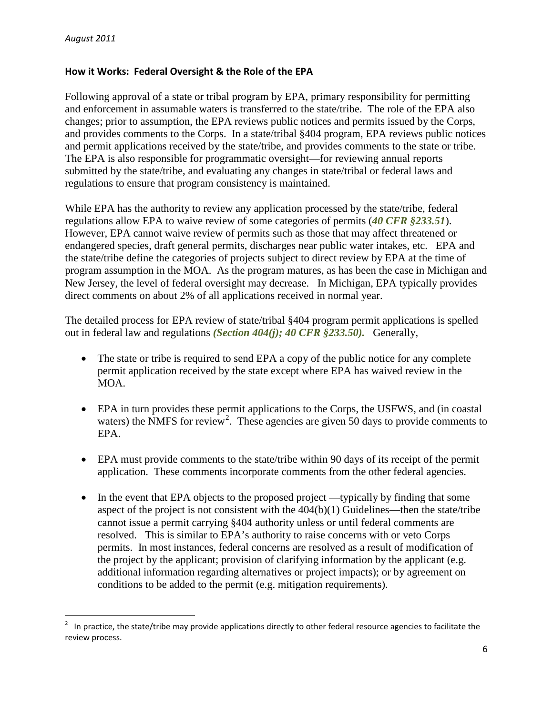## **How it Works: Federal Oversight & the Role of the EPA**

Following approval of a state or tribal program by EPA, primary responsibility for permitting and enforcement in assumable waters is transferred to the state/tribe. The role of the EPA also changes; prior to assumption, the EPA reviews public notices and permits issued by the Corps, and provides comments to the Corps. In a state/tribal §404 program, EPA reviews public notices and permit applications received by the state/tribe, and provides comments to the state or tribe. The EPA is also responsible for programmatic oversight—for reviewing annual reports submitted by the state/tribe, and evaluating any changes in state/tribal or federal laws and regulations to ensure that program consistency is maintained.

While EPA has the authority to review any application processed by the state/tribe, federal regulations allow EPA to waive review of some categories of permits (*40 CFR §233.51*). However, EPA cannot waive review of permits such as those that may affect threatened or endangered species, draft general permits, discharges near public water intakes, etc. EPA and the state/tribe define the categories of projects subject to direct review by EPA at the time of program assumption in the MOA. As the program matures, as has been the case in Michigan and New Jersey, the level of federal oversight may decrease. In Michigan, EPA typically provides direct comments on about 2% of all applications received in normal year.

The detailed process for EPA review of state/tribal §404 program permit applications is spelled out in federal law and regulations *(Section 404(j); 40 CFR §233.50).* Generally,

- The state or tribe is required to send EPA a copy of the public notice for any complete permit application received by the state except where EPA has waived review in the MOA.
- EPA in turn provides these permit applications to the Corps, the USFWS, and (in coastal waters) the NMFS for review<sup>[2](#page-6-0)</sup>. These agencies are given 50 days to provide comments to EPA.
- EPA must provide comments to the state/tribe within 90 days of its receipt of the permit application. These comments incorporate comments from the other federal agencies.
- In the event that EPA objects to the proposed project —typically by finding that some aspect of the project is not consistent with the  $404(b)(1)$  Guidelines—then the state/tribe cannot issue a permit carrying §404 authority unless or until federal comments are resolved. This is similar to EPA's authority to raise concerns with or veto Corps permits. In most instances, federal concerns are resolved as a result of modification of the project by the applicant; provision of clarifying information by the applicant (e.g. additional information regarding alternatives or project impacts); or by agreement on conditions to be added to the permit (e.g. mitigation requirements).

<span id="page-6-0"></span> $\frac{1}{2}$  In practice, the state/tribe may provide applications directly to other federal resource agencies to facilitate the review process.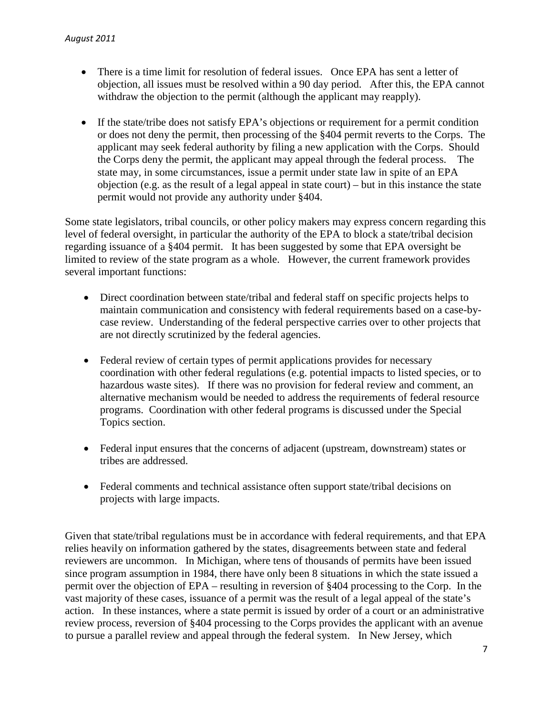- There is a time limit for resolution of federal issues. Once EPA has sent a letter of objection, all issues must be resolved within a 90 day period. After this, the EPA cannot withdraw the objection to the permit (although the applicant may reapply).
- If the state/tribe does not satisfy EPA's objections or requirement for a permit condition or does not deny the permit, then processing of the §404 permit reverts to the Corps. The applicant may seek federal authority by filing a new application with the Corps. Should the Corps deny the permit, the applicant may appeal through the federal process. The state may, in some circumstances, issue a permit under state law in spite of an EPA objection (e.g. as the result of a legal appeal in state court) – but in this instance the state permit would not provide any authority under §404.

Some state legislators, tribal councils, or other policy makers may express concern regarding this level of federal oversight, in particular the authority of the EPA to block a state/tribal decision regarding issuance of a §404 permit. It has been suggested by some that EPA oversight be limited to review of the state program as a whole. However, the current framework provides several important functions:

- Direct coordination between state/tribal and federal staff on specific projects helps to maintain communication and consistency with federal requirements based on a case-bycase review. Understanding of the federal perspective carries over to other projects that are not directly scrutinized by the federal agencies.
- Federal review of certain types of permit applications provides for necessary coordination with other federal regulations (e.g. potential impacts to listed species, or to hazardous waste sites). If there was no provision for federal review and comment, an alternative mechanism would be needed to address the requirements of federal resource programs. Coordination with other federal programs is discussed under the Special Topics section.
- Federal input ensures that the concerns of adjacent (upstream, downstream) states or tribes are addressed.
- Federal comments and technical assistance often support state/tribal decisions on projects with large impacts.

Given that state/tribal regulations must be in accordance with federal requirements, and that EPA relies heavily on information gathered by the states, disagreements between state and federal reviewers are uncommon. In Michigan, where tens of thousands of permits have been issued since program assumption in 1984, there have only been 8 situations in which the state issued a permit over the objection of EPA – resulting in reversion of §404 processing to the Corp. In the vast majority of these cases, issuance of a permit was the result of a legal appeal of the state's action. In these instances, where a state permit is issued by order of a court or an administrative review process, reversion of §404 processing to the Corps provides the applicant with an avenue to pursue a parallel review and appeal through the federal system. In New Jersey, which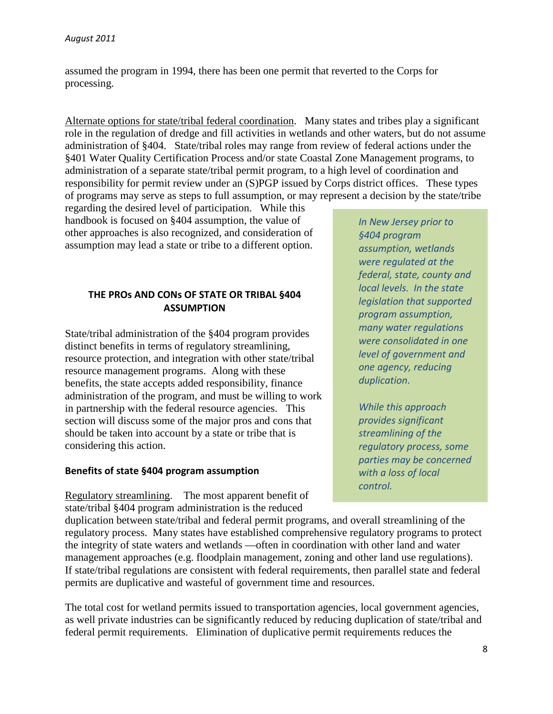assumed the program in 1994, there has been one permit that reverted to the Corps for processing.

Alternate options for state/tribal federal coordination. Many states and tribes play a significant role in the regulation of dredge and fill activities in wetlands and other waters, but do not assume administration of §404. State/tribal roles may range from review of federal actions under the §401 Water Quality Certification Process and/or state Coastal Zone Management programs, to administration of a separate state/tribal permit program, to a high level of coordination and responsibility for permit review under an (S)PGP issued by Corps district offices. These types of programs may serve as steps to full assumption, or may represent a decision by the state/tribe

regarding the desired level of participation. While this handbook is focused on §404 assumption, the value of other approaches is also recognized, and consideration of assumption may lead a state or tribe to a different option.

# **THE PROs AND CONs OF STATE OR TRIBAL §404 ASSUMPTION**

State/tribal administration of the §404 program provides distinct benefits in terms of regulatory streamlining, resource protection, and integration with other state/tribal resource management programs. Along with these benefits, the state accepts added responsibility, finance administration of the program, and must be willing to work in partnership with the federal resource agencies. This section will discuss some of the major pros and cons that should be taken into account by a state or tribe that is considering this action.

#### **Benefits of state §404 program assumption**

Regulatory streamlining. The most apparent benefit of state/tribal §404 program administration is the reduced

*In New Jersey prior to §404 program assumption, wetlands were regulated at the federal, state, county and local levels. In the state legislation that supported program assumption, many water regulations were consolidated in one level of government and one agency, reducing duplication.* 

*While this approach provides significant streamlining of the regulatory process, some parties may be concerned with a loss of local control.*

duplication between state/tribal and federal permit programs, and overall streamlining of the regulatory process. Many states have established comprehensive regulatory programs to protect the integrity of state waters and wetlands —often in coordination with other land and water management approaches (e.g. floodplain management, zoning and other land use regulations). If state/tribal regulations are consistent with federal requirements, then parallel state and federal permits are duplicative and wasteful of government time and resources.

The total cost for wetland permits issued to transportation agencies, local government agencies, as well private industries can be significantly reduced by reducing duplication of state/tribal and federal permit requirements. Elimination of duplicative permit requirements reduces the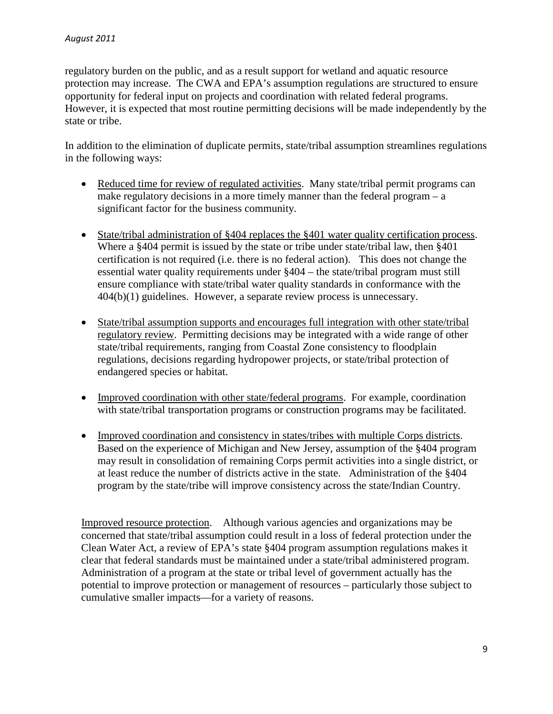regulatory burden on the public, and as a result support for wetland and aquatic resource protection may increase. The CWA and EPA's assumption regulations are structured to ensure opportunity for federal input on projects and coordination with related federal programs. However, it is expected that most routine permitting decisions will be made independently by the state or tribe.

In addition to the elimination of duplicate permits, state/tribal assumption streamlines regulations in the following ways:

- Reduced time for review of regulated activities. Many state/tribal permit programs can make regulatory decisions in a more timely manner than the federal program – a significant factor for the business community.
- State/tribal administration of §404 replaces the §401 water quality certification process. Where a §404 permit is issued by the state or tribe under state/tribal law, then §401 certification is not required (i.e. there is no federal action). This does not change the essential water quality requirements under §404 – the state/tribal program must still ensure compliance with state/tribal water quality standards in conformance with the 404(b)(1) guidelines. However, a separate review process is unnecessary.
- State/tribal assumption supports and encourages full integration with other state/tribal regulatory review. Permitting decisions may be integrated with a wide range of other state/tribal requirements, ranging from Coastal Zone consistency to floodplain regulations, decisions regarding hydropower projects, or state/tribal protection of endangered species or habitat.
- Improved coordination with other state/federal programs. For example, coordination with state/tribal transportation programs or construction programs may be facilitated.
- Improved coordination and consistency in states/tribes with multiple Corps districts. Based on the experience of Michigan and New Jersey, assumption of the §404 program may result in consolidation of remaining Corps permit activities into a single district, or at least reduce the number of districts active in the state. Administration of the §404 program by the state/tribe will improve consistency across the state/Indian Country.

Improved resource protection. Although various agencies and organizations may be concerned that state/tribal assumption could result in a loss of federal protection under the Clean Water Act, a review of EPA's state §404 program assumption regulations makes it clear that federal standards must be maintained under a state/tribal administered program. Administration of a program at the state or tribal level of government actually has the potential to improve protection or management of resources – particularly those subject to cumulative smaller impacts—for a variety of reasons.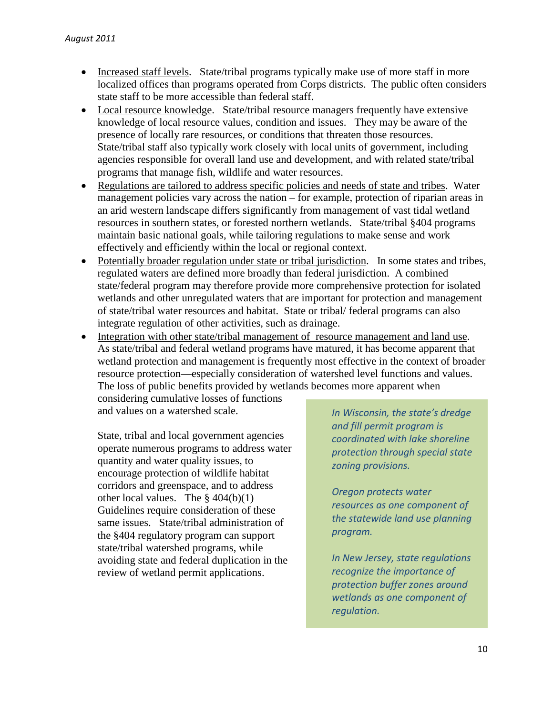- Increased staff levels. State/tribal programs typically make use of more staff in more localized offices than programs operated from Corps districts. The public often considers state staff to be more accessible than federal staff.
- Local resource knowledge. State/tribal resource managers frequently have extensive knowledge of local resource values, condition and issues. They may be aware of the presence of locally rare resources, or conditions that threaten those resources. State/tribal staff also typically work closely with local units of government, including agencies responsible for overall land use and development, and with related state/tribal programs that manage fish, wildlife and water resources.
- Regulations are tailored to address specific policies and needs of state and tribes. Water management policies vary across the nation – for example, protection of riparian areas in an arid western landscape differs significantly from management of vast tidal wetland resources in southern states, or forested northern wetlands. State/tribal §404 programs maintain basic national goals, while tailoring regulations to make sense and work effectively and efficiently within the local or regional context.
- Potentially broader regulation under state or tribal jurisdiction. In some states and tribes, regulated waters are defined more broadly than federal jurisdiction. A combined state/federal program may therefore provide more comprehensive protection for isolated wetlands and other unregulated waters that are important for protection and management of state/tribal water resources and habitat. State or tribal/ federal programs can also integrate regulation of other activities, such as drainage.
- Integration with other state/tribal management of resource management and land use. As state/tribal and federal wetland programs have matured, it has become apparent that wetland protection and management is frequently most effective in the context of broader resource protection—especially consideration of watershed level functions and values. The loss of public benefits provided by wetlands becomes more apparent when

considering cumulative losses of functions and values on a watershed scale.

State, tribal and local government agencies operate numerous programs to address water quantity and water quality issues, to encourage protection of wildlife habitat corridors and greenspace, and to address other local values. The  $§$  404(b)(1) Guidelines require consideration of these same issues. State/tribal administration of the §404 regulatory program can support state/tribal watershed programs, while avoiding state and federal duplication in the review of wetland permit applications.

*In Wisconsin, the state's dredge and fill permit program is coordinated with lake shoreline protection through special state zoning provisions.* 

*Oregon protects water resources as one component of the statewide land use planning program.* 

*In New Jersey, state regulations recognize the importance of protection buffer zones around wetlands as one component of regulation.*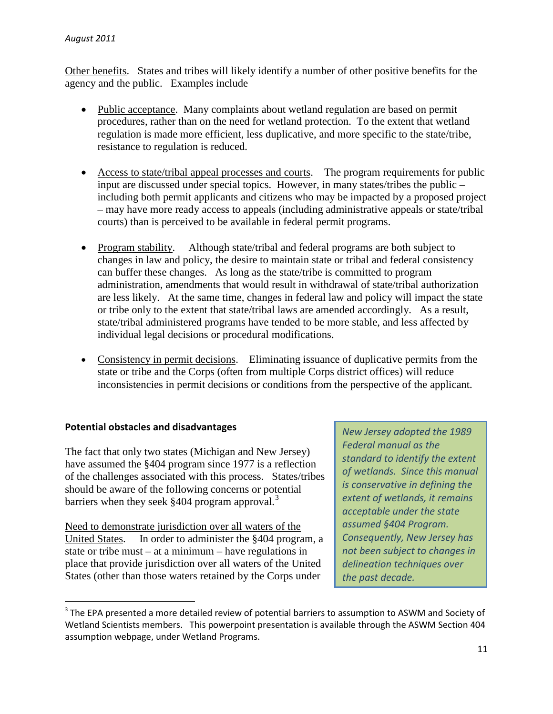Other benefits. States and tribes will likely identify a number of other positive benefits for the agency and the public. Examples include

- Public acceptance. Many complaints about wetland regulation are based on permit procedures, rather than on the need for wetland protection. To the extent that wetland regulation is made more efficient, less duplicative, and more specific to the state/tribe, resistance to regulation is reduced.
- Access to state/tribal appeal processes and courts. The program requirements for public input are discussed under special topics. However, in many states/tribes the public – including both permit applicants and citizens who may be impacted by a proposed project – may have more ready access to appeals (including administrative appeals or state/tribal courts) than is perceived to be available in federal permit programs.
- Program stability. Although state/tribal and federal programs are both subject to changes in law and policy, the desire to maintain state or tribal and federal consistency can buffer these changes. As long as the state/tribe is committed to program administration, amendments that would result in withdrawal of state/tribal authorization are less likely. At the same time, changes in federal law and policy will impact the state or tribe only to the extent that state/tribal laws are amended accordingly. As a result, state/tribal administered programs have tended to be more stable, and less affected by individual legal decisions or procedural modifications.
- Consistency in permit decisions. Eliminating issuance of duplicative permits from the state or tribe and the Corps (often from multiple Corps district offices) will reduce inconsistencies in permit decisions or conditions from the perspective of the applicant.

# **Potential obstacles and disadvantages**

The fact that only two states (Michigan and New Jersey) have assumed the §404 program since 1977 is a reflection of the challenges associated with this process. States/tribes should be aware of the following concerns or potential barriers when they seek §404 program approval.<sup>[3](#page-11-0)</sup>

Need to demonstrate jurisdiction over all waters of the United States. In order to administer the §404 program, a state or tribe must – at a minimum – have regulations in place that provide jurisdiction over all waters of the United States (other than those waters retained by the Corps under

*New Jersey adopted the 1989 Federal manual as the standard to identify the extent of wetlands. Since this manual is conservative in defining the extent of wetlands, it remains acceptable under the state assumed §404 Program. Consequently, New Jersey has not been subject to changes in delineation techniques over the past decade.* 

<span id="page-11-0"></span><sup>&</sup>lt;sup>3</sup> The EPA presented a more detailed review of potential barriers to assumption to ASWM and Society of Wetland Scientists members. This powerpoint presentation is available through the ASWM Section 404 assumption webpage, under Wetland Programs.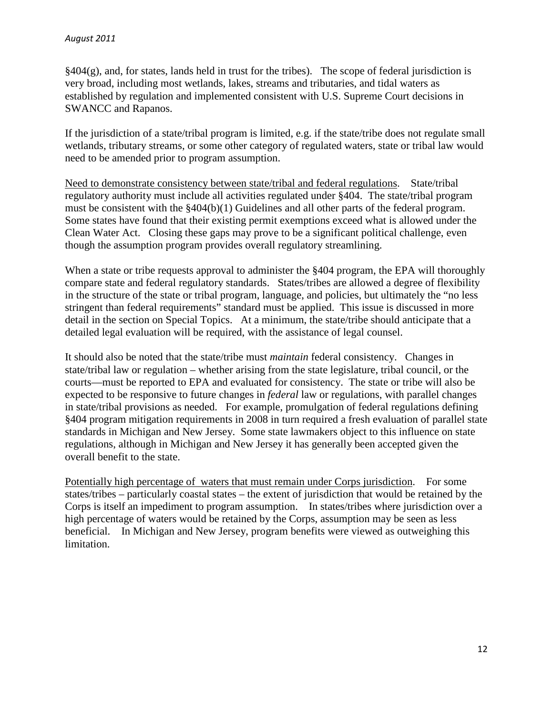$§404(g)$ , and, for states, lands held in trust for the tribes). The scope of federal jurisdiction is very broad, including most wetlands, lakes, streams and tributaries, and tidal waters as established by regulation and implemented consistent with U.S. Supreme Court decisions in SWANCC and Rapanos.

If the jurisdiction of a state/tribal program is limited, e.g. if the state/tribe does not regulate small wetlands, tributary streams, or some other category of regulated waters, state or tribal law would need to be amended prior to program assumption.

Need to demonstrate consistency between state/tribal and federal regulations. State/tribal regulatory authority must include all activities regulated under §404. The state/tribal program must be consistent with the §404(b)(1) Guidelines and all other parts of the federal program. Some states have found that their existing permit exemptions exceed what is allowed under the Clean Water Act. Closing these gaps may prove to be a significant political challenge, even though the assumption program provides overall regulatory streamlining.

When a state or tribe requests approval to administer the §404 program, the EPA will thoroughly compare state and federal regulatory standards. States/tribes are allowed a degree of flexibility in the structure of the state or tribal program, language, and policies, but ultimately the "no less stringent than federal requirements" standard must be applied. This issue is discussed in more detail in the section on Special Topics. At a minimum, the state/tribe should anticipate that a detailed legal evaluation will be required, with the assistance of legal counsel.

It should also be noted that the state/tribe must *maintain* federal consistency. Changes in state/tribal law or regulation – whether arising from the state legislature, tribal council, or the courts—must be reported to EPA and evaluated for consistency. The state or tribe will also be expected to be responsive to future changes in *federal* law or regulations, with parallel changes in state/tribal provisions as needed. For example, promulgation of federal regulations defining §404 program mitigation requirements in 2008 in turn required a fresh evaluation of parallel state standards in Michigan and New Jersey. Some state lawmakers object to this influence on state regulations, although in Michigan and New Jersey it has generally been accepted given the overall benefit to the state.

Potentially high percentage of waters that must remain under Corps jurisdiction. For some states/tribes – particularly coastal states – the extent of jurisdiction that would be retained by the Corps is itself an impediment to program assumption. In states/tribes where jurisdiction over a high percentage of waters would be retained by the Corps, assumption may be seen as less beneficial. In Michigan and New Jersey, program benefits were viewed as outweighing this limitation.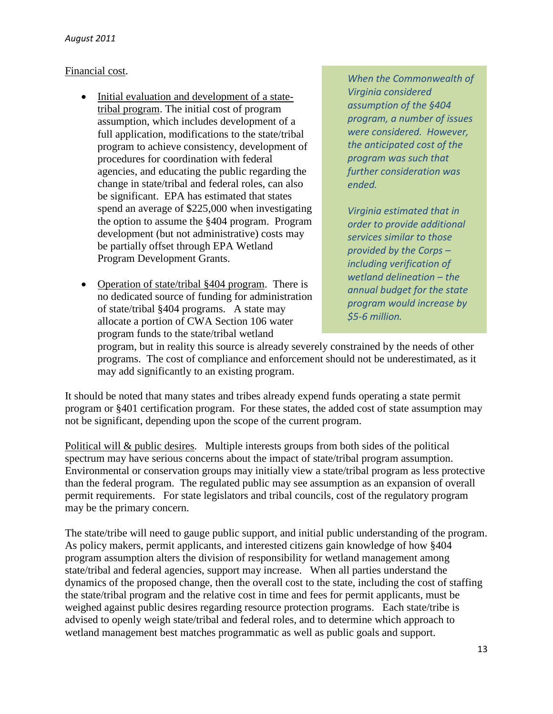## Financial cost.

- Initial evaluation and development of a statetribal program. The initial cost of program assumption, which includes development of a full application, modifications to the state/tribal program to achieve consistency, development of procedures for coordination with federal agencies, and educating the public regarding the change in state/tribal and federal roles, can also be significant. EPA has estimated that states spend an average of \$225,000 when investigating the option to assume the §404 program. Program development (but not administrative) costs may be partially offset through EPA Wetland Program Development Grants.
- Operation of state/tribal §404 program. There is no dedicated source of funding for administration of state/tribal §404 programs. A state may allocate a portion of CWA Section 106 water program funds to the state/tribal wetland

*When the Commonwealth of Virginia considered assumption of the §404 program, a number of issues were considered. However, the anticipated cost of the program was such that further consideration was ended.*

*Virginia estimated that in order to provide additional services similar to those provided by the Corps – including verification of wetland delineation – the annual budget for the state program would increase by \$5-6 million.* 

program, but in reality this source is already severely constrained by the needs of other programs. The cost of compliance and enforcement should not be underestimated, as it may add significantly to an existing program.

It should be noted that many states and tribes already expend funds operating a state permit program or §401 certification program. For these states, the added cost of state assumption may not be significant, depending upon the scope of the current program.

Political will & public desires. Multiple interests groups from both sides of the political spectrum may have serious concerns about the impact of state/tribal program assumption. Environmental or conservation groups may initially view a state/tribal program as less protective than the federal program. The regulated public may see assumption as an expansion of overall permit requirements. For state legislators and tribal councils, cost of the regulatory program may be the primary concern.

The state/tribe will need to gauge public support, and initial public understanding of the program. As policy makers, permit applicants, and interested citizens gain knowledge of how §404 program assumption alters the division of responsibility for wetland management among state/tribal and federal agencies, support may increase. When all parties understand the dynamics of the proposed change, then the overall cost to the state, including the cost of staffing the state/tribal program and the relative cost in time and fees for permit applicants, must be weighed against public desires regarding resource protection programs. Each state/tribe is advised to openly weigh state/tribal and federal roles, and to determine which approach to wetland management best matches programmatic as well as public goals and support.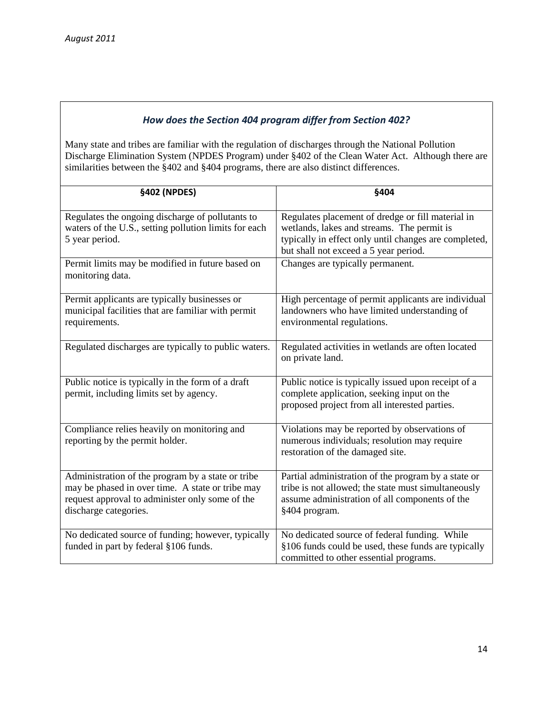## *How does the Section 404 program differ from Section 402?*

Many state and tribes are familiar with the regulation of discharges through the National Pollution Discharge Elimination System (NPDES Program) under §402 of the Clean Water Act. Although there are similarities between the §402 and §404 programs, there are also distinct differences.

| §402 (NPDES)                                                                                                                                                                      | §404                                                                                                                                                                                              |
|-----------------------------------------------------------------------------------------------------------------------------------------------------------------------------------|---------------------------------------------------------------------------------------------------------------------------------------------------------------------------------------------------|
| Regulates the ongoing discharge of pollutants to<br>waters of the U.S., setting pollution limits for each<br>5 year period.                                                       | Regulates placement of dredge or fill material in<br>wetlands, lakes and streams. The permit is<br>typically in effect only until changes are completed,<br>but shall not exceed a 5 year period. |
| Permit limits may be modified in future based on<br>monitoring data.                                                                                                              | Changes are typically permanent.                                                                                                                                                                  |
| Permit applicants are typically businesses or<br>municipal facilities that are familiar with permit<br>requirements.                                                              | High percentage of permit applicants are individual<br>landowners who have limited understanding of<br>environmental regulations.                                                                 |
| Regulated discharges are typically to public waters.                                                                                                                              | Regulated activities in wetlands are often located<br>on private land.                                                                                                                            |
| Public notice is typically in the form of a draft<br>permit, including limits set by agency.                                                                                      | Public notice is typically issued upon receipt of a<br>complete application, seeking input on the<br>proposed project from all interested parties.                                                |
| Compliance relies heavily on monitoring and<br>reporting by the permit holder.                                                                                                    | Violations may be reported by observations of<br>numerous individuals; resolution may require<br>restoration of the damaged site.                                                                 |
| Administration of the program by a state or tribe<br>may be phased in over time. A state or tribe may<br>request approval to administer only some of the<br>discharge categories. | Partial administration of the program by a state or<br>tribe is not allowed; the state must simultaneously<br>assume administration of all components of the<br>§404 program.                     |
| No dedicated source of funding; however, typically<br>funded in part by federal §106 funds.                                                                                       | No dedicated source of federal funding. While<br>§106 funds could be used, these funds are typically<br>committed to other essential programs.                                                    |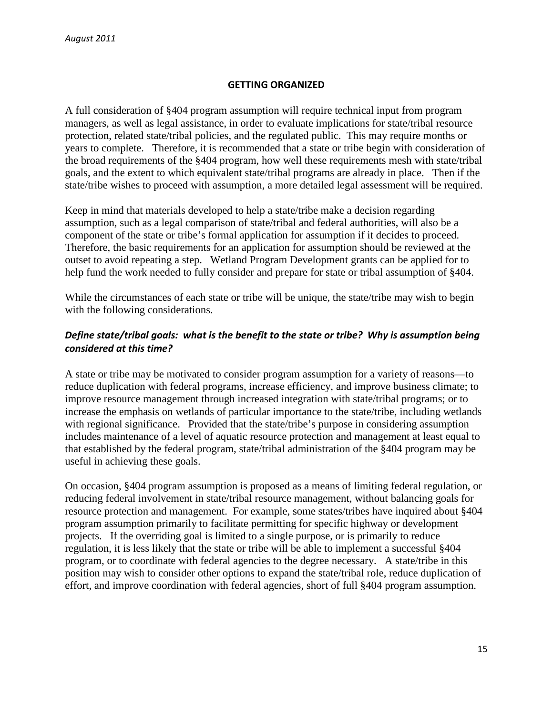#### **GETTING ORGANIZED**

A full consideration of §404 program assumption will require technical input from program managers, as well as legal assistance, in order to evaluate implications for state/tribal resource protection, related state/tribal policies, and the regulated public. This may require months or years to complete. Therefore, it is recommended that a state or tribe begin with consideration of the broad requirements of the §404 program, how well these requirements mesh with state/tribal goals, and the extent to which equivalent state/tribal programs are already in place. Then if the state/tribe wishes to proceed with assumption, a more detailed legal assessment will be required.

Keep in mind that materials developed to help a state/tribe make a decision regarding assumption, such as a legal comparison of state/tribal and federal authorities, will also be a component of the state or tribe's formal application for assumption if it decides to proceed. Therefore, the basic requirements for an application for assumption should be reviewed at the outset to avoid repeating a step. Wetland Program Development grants can be applied for to help fund the work needed to fully consider and prepare for state or tribal assumption of §404.

While the circumstances of each state or tribe will be unique, the state/tribe may wish to begin with the following considerations.

## *Define state/tribal goals: what is the benefit to the state or tribe? Why is assumption being considered at this time?*

A state or tribe may be motivated to consider program assumption for a variety of reasons—to reduce duplication with federal programs, increase efficiency, and improve business climate; to improve resource management through increased integration with state/tribal programs; or to increase the emphasis on wetlands of particular importance to the state/tribe, including wetlands with regional significance. Provided that the state/tribe's purpose in considering assumption includes maintenance of a level of aquatic resource protection and management at least equal to that established by the federal program, state/tribal administration of the §404 program may be useful in achieving these goals.

On occasion, §404 program assumption is proposed as a means of limiting federal regulation, or reducing federal involvement in state/tribal resource management, without balancing goals for resource protection and management. For example, some states/tribes have inquired about §404 program assumption primarily to facilitate permitting for specific highway or development projects. If the overriding goal is limited to a single purpose, or is primarily to reduce regulation, it is less likely that the state or tribe will be able to implement a successful §404 program, or to coordinate with federal agencies to the degree necessary. A state/tribe in this position may wish to consider other options to expand the state/tribal role, reduce duplication of effort, and improve coordination with federal agencies, short of full §404 program assumption.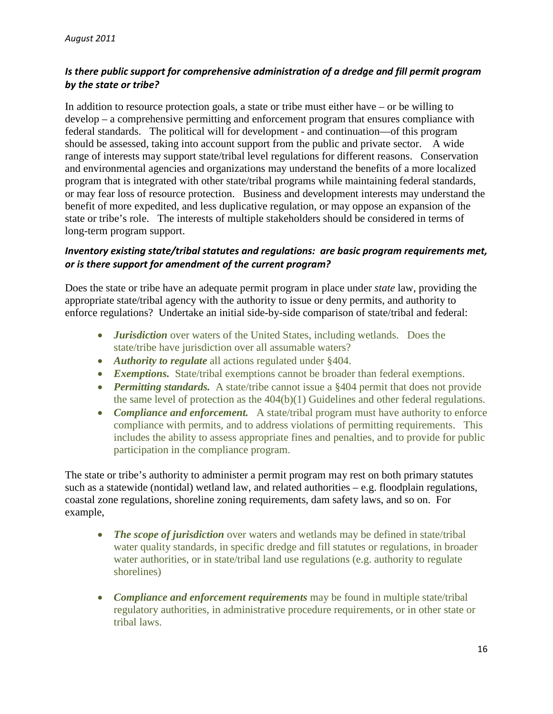# *Is there public support for comprehensive administration of a dredge and fill permit program by the state or tribe?*

In addition to resource protection goals, a state or tribe must either have – or be willing to develop – a comprehensive permitting and enforcement program that ensures compliance with federal standards. The political will for development - and continuation—of this program should be assessed, taking into account support from the public and private sector. A wide range of interests may support state/tribal level regulations for different reasons. Conservation and environmental agencies and organizations may understand the benefits of a more localized program that is integrated with other state/tribal programs while maintaining federal standards, or may fear loss of resource protection. Business and development interests may understand the benefit of more expedited, and less duplicative regulation, or may oppose an expansion of the state or tribe's role. The interests of multiple stakeholders should be considered in terms of long-term program support.

## *Inventory existing state/tribal statutes and regulations: are basic program requirements met, or is there support for amendment of the current program?*

Does the state or tribe have an adequate permit program in place under *state* law, providing the appropriate state/tribal agency with the authority to issue or deny permits, and authority to enforce regulations? Undertake an initial side-by-side comparison of state/tribal and federal:

- *Jurisdiction* over waters of the United States, including wetlands. Does the state/tribe have jurisdiction over all assumable waters?
- *Authority to regulate* all actions regulated under §404.
- *Exemptions.* State/tribal exemptions cannot be broader than federal exemptions.
- *Permitting standards.* A state/tribe cannot issue a §404 permit that does not provide the same level of protection as the 404(b)(1) Guidelines and other federal regulations.
- *Compliance and enforcement.* A state/tribal program must have authority to enforce compliance with permits, and to address violations of permitting requirements. This includes the ability to assess appropriate fines and penalties, and to provide for public participation in the compliance program.

The state or tribe's authority to administer a permit program may rest on both primary statutes such as a statewide (nontidal) wetland law, and related authorities – e.g. floodplain regulations, coastal zone regulations, shoreline zoning requirements, dam safety laws, and so on. For example,

- *The scope of jurisdiction* over waters and wetlands may be defined in state/tribal water quality standards, in specific dredge and fill statutes or regulations, in broader water authorities, or in state/tribal land use regulations (e.g. authority to regulate shorelines)
- *Compliance and enforcement requirements* may be found in multiple state/tribal regulatory authorities, in administrative procedure requirements, or in other state or tribal laws.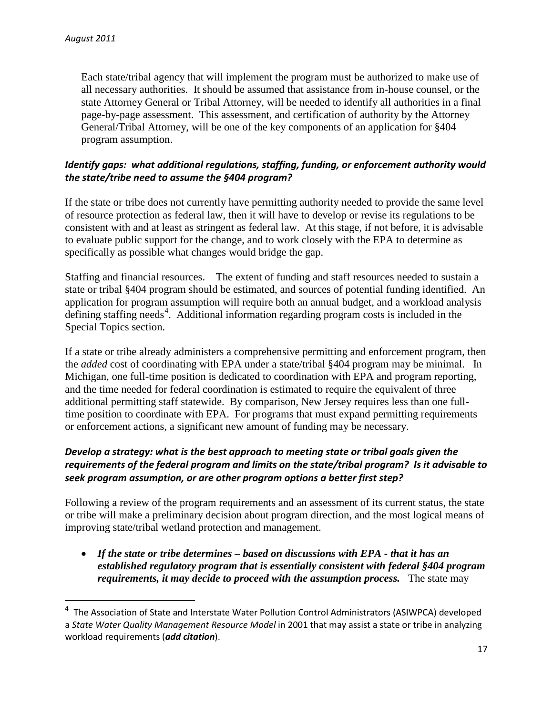Each state/tribal agency that will implement the program must be authorized to make use of all necessary authorities. It should be assumed that assistance from in-house counsel, or the state Attorney General or Tribal Attorney, will be needed to identify all authorities in a final page-by-page assessment. This assessment, and certification of authority by the Attorney General/Tribal Attorney, will be one of the key components of an application for §404 program assumption.

# *Identify gaps: what additional regulations, staffing, funding, or enforcement authority would the state/tribe need to assume the §404 program?*

If the state or tribe does not currently have permitting authority needed to provide the same level of resource protection as federal law, then it will have to develop or revise its regulations to be consistent with and at least as stringent as federal law. At this stage, if not before, it is advisable to evaluate public support for the change, and to work closely with the EPA to determine as specifically as possible what changes would bridge the gap.

Staffing and financial resources. The extent of funding and staff resources needed to sustain a state or tribal §404 program should be estimated, and sources of potential funding identified. An application for program assumption will require both an annual budget, and a workload analysis defining staffing needs<sup>[4](#page-17-0)</sup>. Additional information regarding program costs is included in the Special Topics section.

If a state or tribe already administers a comprehensive permitting and enforcement program, then the *added* cost of coordinating with EPA under a state/tribal §404 program may be minimal. In Michigan, one full-time position is dedicated to coordination with EPA and program reporting, and the time needed for federal coordination is estimated to require the equivalent of three additional permitting staff statewide. By comparison, New Jersey requires less than one fulltime position to coordinate with EPA. For programs that must expand permitting requirements or enforcement actions, a significant new amount of funding may be necessary.

# *Develop a strategy: what is the best approach to meeting state or tribal goals given the requirements of the federal program and limits on the state/tribal program? Is it advisable to seek program assumption, or are other program options a better first step?*

Following a review of the program requirements and an assessment of its current status, the state or tribe will make a preliminary decision about program direction, and the most logical means of improving state/tribal wetland protection and management.

• *If the state or tribe determines – based on discussions with EPA - that it has an established regulatory program that is essentially consistent with federal §404 program requirements, it may decide to proceed with the assumption process.* The state may

<span id="page-17-0"></span> $\overline{a}$ <sup>4</sup> The Association of State and Interstate Water Pollution Control Administrators (ASIWPCA) developed a *State Water Quality Management Resource Model* in 2001 that may assist a state or tribe in analyzing workload requirements (*add citation*).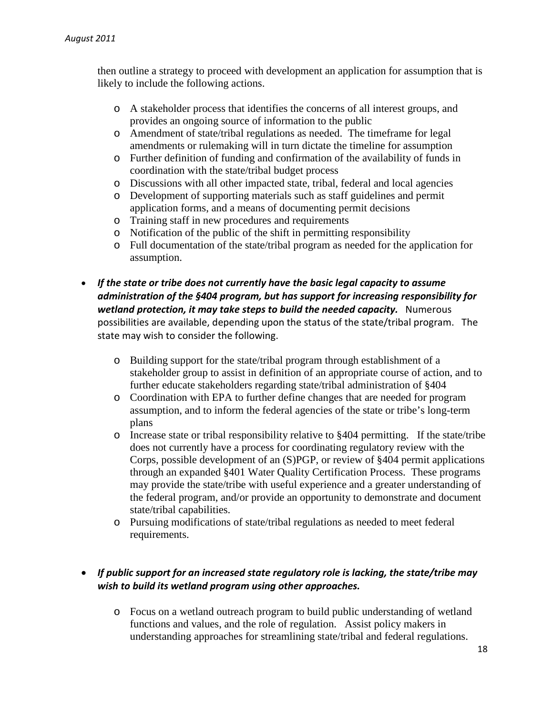then outline a strategy to proceed with development an application for assumption that is likely to include the following actions.

- o A stakeholder process that identifies the concerns of all interest groups, and provides an ongoing source of information to the public
- o Amendment of state/tribal regulations as needed. The timeframe for legal amendments or rulemaking will in turn dictate the timeline for assumption
- o Further definition of funding and confirmation of the availability of funds in coordination with the state/tribal budget process
- o Discussions with all other impacted state, tribal, federal and local agencies
- o Development of supporting materials such as staff guidelines and permit application forms, and a means of documenting permit decisions
- o Training staff in new procedures and requirements
- o Notification of the public of the shift in permitting responsibility
- o Full documentation of the state/tribal program as needed for the application for assumption.
- *If the state or tribe does not currently have the basic legal capacity to assume administration of the §404 program, but has support for increasing responsibility for wetland protection, it may take steps to build the needed capacity.* Numerous possibilities are available, depending upon the status of the state/tribal program. The state may wish to consider the following.
	- o Building support for the state/tribal program through establishment of a stakeholder group to assist in definition of an appropriate course of action, and to further educate stakeholders regarding state/tribal administration of §404
	- o Coordination with EPA to further define changes that are needed for program assumption, and to inform the federal agencies of the state or tribe's long-term plans
	- o Increase state or tribal responsibility relative to §404 permitting. If the state/tribe does not currently have a process for coordinating regulatory review with the Corps, possible development of an (S)PGP, or review of §404 permit applications through an expanded §401 Water Quality Certification Process. These programs may provide the state/tribe with useful experience and a greater understanding of the federal program, and/or provide an opportunity to demonstrate and document state/tribal capabilities.
	- o Pursuing modifications of state/tribal regulations as needed to meet federal requirements.

# • *If public support for an increased state regulatory role is lacking, the state/tribe may wish to build its wetland program using other approaches.*

o Focus on a wetland outreach program to build public understanding of wetland functions and values, and the role of regulation. Assist policy makers in understanding approaches for streamlining state/tribal and federal regulations.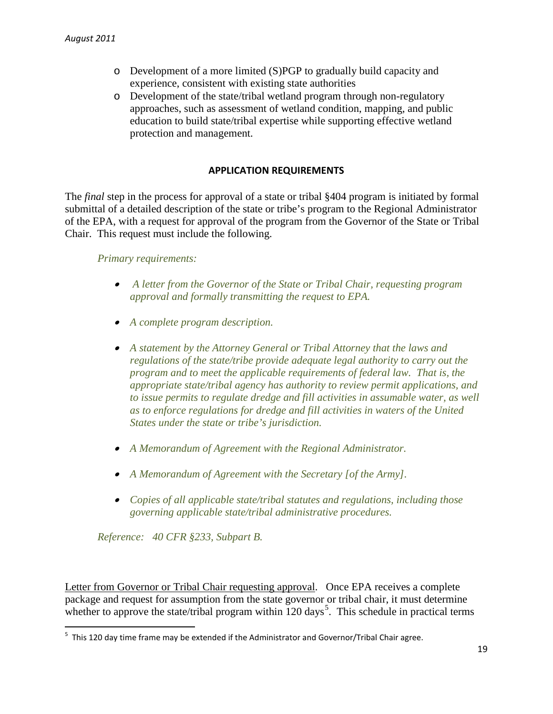- o Development of a more limited (S)PGP to gradually build capacity and experience, consistent with existing state authorities
- o Development of the state/tribal wetland program through non-regulatory approaches, such as assessment of wetland condition, mapping, and public education to build state/tribal expertise while supporting effective wetland protection and management.

#### **APPLICATION REQUIREMENTS**

The *final* step in the process for approval of a state or tribal §404 program is initiated by formal submittal of a detailed description of the state or tribe's program to the Regional Administrator of the EPA, with a request for approval of the program from the Governor of the State or Tribal Chair. This request must include the following.

#### *Primary requirements:*

- *A letter from the Governor of the State or Tribal Chair, requesting program approval and formally transmitting the request to EPA.*
- *A complete program description.*
- *A statement by the Attorney General or Tribal Attorney that the laws and regulations of the state/tribe provide adequate legal authority to carry out the program and to meet the applicable requirements of federal law. That is, the appropriate state/tribal agency has authority to review permit applications, and to issue permits to regulate dredge and fill activities in assumable water, as well as to enforce regulations for dredge and fill activities in waters of the United States under the state or tribe's jurisdiction.*
- *A Memorandum of Agreement with the Regional Administrator.*
- *A Memorandum of Agreement with the Secretary [of the Army].*
- *Copies of all applicable state/tribal statutes and regulations, including those governing applicable state/tribal administrative procedures.*

*Reference: 40 CFR §233, Subpart B.*

Letter from Governor or Tribal Chair requesting approval. Once EPA receives a complete package and request for assumption from the state governor or tribal chair, it must determine whether to approve the state/tribal program within  $120 \text{ days}^5$  $120 \text{ days}^5$ . This schedule in practical terms

<span id="page-19-0"></span><sup>-&</sup>lt;br>5  $5$  This 120 day time frame may be extended if the Administrator and Governor/Tribal Chair agree.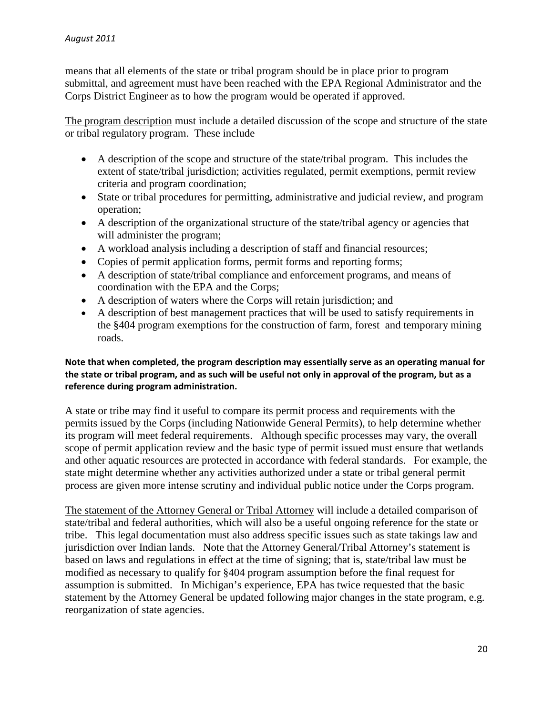means that all elements of the state or tribal program should be in place prior to program submittal, and agreement must have been reached with the EPA Regional Administrator and the Corps District Engineer as to how the program would be operated if approved.

The program description must include a detailed discussion of the scope and structure of the state or tribal regulatory program. These include

- A description of the scope and structure of the state/tribal program. This includes the extent of state/tribal jurisdiction; activities regulated, permit exemptions, permit review criteria and program coordination;
- State or tribal procedures for permitting, administrative and judicial review, and program operation;
- A description of the organizational structure of the state/tribal agency or agencies that will administer the program;
- A workload analysis including a description of staff and financial resources;
- Copies of permit application forms, permit forms and reporting forms;
- A description of state/tribal compliance and enforcement programs, and means of coordination with the EPA and the Corps;
- A description of waters where the Corps will retain jurisdiction; and
- A description of best management practices that will be used to satisfy requirements in the §404 program exemptions for the construction of farm, forest and temporary mining roads.

#### **Note that when completed, the program description may essentially serve as an operating manual for the state or tribal program, and as such will be useful not only in approval of the program, but as a reference during program administration.**

A state or tribe may find it useful to compare its permit process and requirements with the permits issued by the Corps (including Nationwide General Permits), to help determine whether its program will meet federal requirements. Although specific processes may vary, the overall scope of permit application review and the basic type of permit issued must ensure that wetlands and other aquatic resources are protected in accordance with federal standards. For example, the state might determine whether any activities authorized under a state or tribal general permit process are given more intense scrutiny and individual public notice under the Corps program.

The statement of the Attorney General or Tribal Attorney will include a detailed comparison of state/tribal and federal authorities, which will also be a useful ongoing reference for the state or tribe. This legal documentation must also address specific issues such as state takings law and jurisdiction over Indian lands. Note that the Attorney General/Tribal Attorney's statement is based on laws and regulations in effect at the time of signing; that is, state/tribal law must be modified as necessary to qualify for §404 program assumption before the final request for assumption is submitted. In Michigan's experience, EPA has twice requested that the basic statement by the Attorney General be updated following major changes in the state program, e.g. reorganization of state agencies.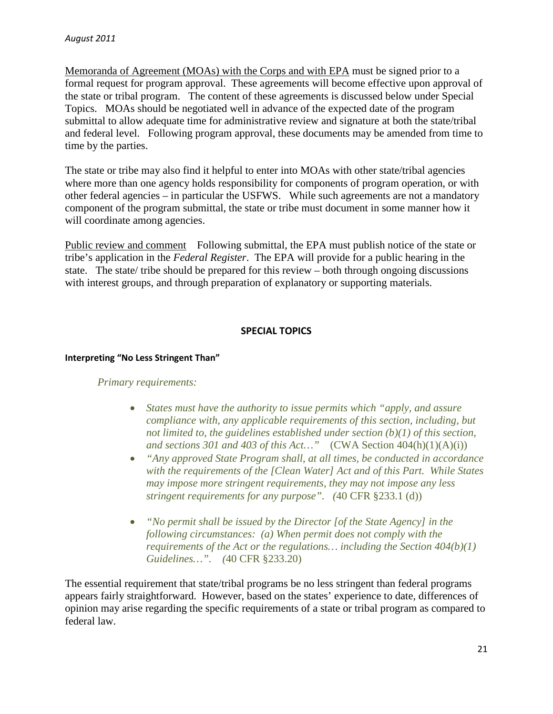Memoranda of Agreement (MOAs) with the Corps and with EPA must be signed prior to a formal request for program approval. These agreements will become effective upon approval of the state or tribal program. The content of these agreements is discussed below under Special Topics. MOAs should be negotiated well in advance of the expected date of the program submittal to allow adequate time for administrative review and signature at both the state/tribal and federal level. Following program approval, these documents may be amended from time to time by the parties.

The state or tribe may also find it helpful to enter into MOAs with other state/tribal agencies where more than one agency holds responsibility for components of program operation, or with other federal agencies – in particular the USFWS. While such agreements are not a mandatory component of the program submittal, the state or tribe must document in some manner how it will coordinate among agencies.

Public review and comment Following submittal, the EPA must publish notice of the state or tribe's application in the *Federal Register*. The EPA will provide for a public hearing in the state. The state/ tribe should be prepared for this review – both through ongoing discussions with interest groups, and through preparation of explanatory or supporting materials.

#### **SPECIAL TOPICS**

#### **Interpreting "No Less Stringent Than"**

#### *Primary requirements:*

- *States must have the authority to issue permits which "apply, and assure compliance with, any applicable requirements of this section, including, but not limited to, the guidelines established under section (b)(1) of this section, and sections 301 and 403 of this Act…"* (CWA Section 404(h)(1)(A)(i))
- *"Any approved State Program shall, at all times, be conducted in accordance with the requirements of the [Clean Water] Act and of this Part. While States may impose more stringent requirements, they may not impose any less stringent requirements for any purpose". (*40 CFR §233.1 (d))
- *"No permit shall be issued by the Director [of the State Agency] in the following circumstances: (a) When permit does not comply with the requirements of the Act or the regulations… including the Section 404(b)(1) Guidelines…". (*40 CFR §233.20)

The essential requirement that state/tribal programs be no less stringent than federal programs appears fairly straightforward. However, based on the states' experience to date, differences of opinion may arise regarding the specific requirements of a state or tribal program as compared to federal law.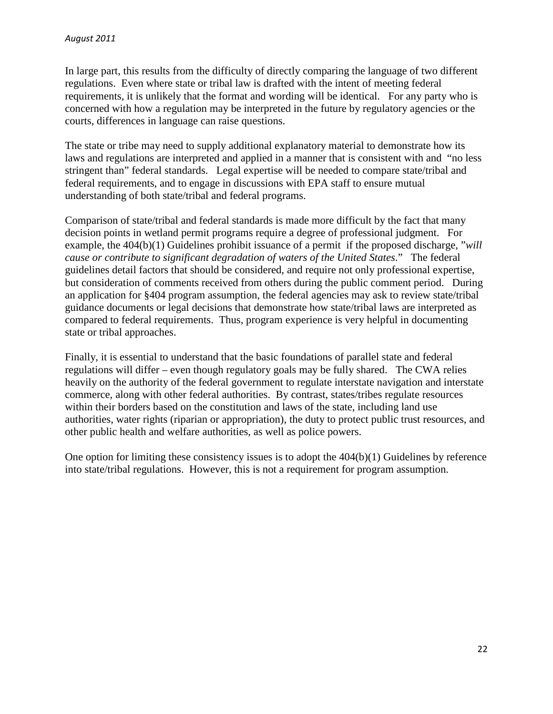In large part, this results from the difficulty of directly comparing the language of two different regulations. Even where state or tribal law is drafted with the intent of meeting federal requirements, it is unlikely that the format and wording will be identical. For any party who is concerned with how a regulation may be interpreted in the future by regulatory agencies or the courts, differences in language can raise questions.

The state or tribe may need to supply additional explanatory material to demonstrate how its laws and regulations are interpreted and applied in a manner that is consistent with and "no less stringent than" federal standards. Legal expertise will be needed to compare state/tribal and federal requirements, and to engage in discussions with EPA staff to ensure mutual understanding of both state/tribal and federal programs.

Comparison of state/tribal and federal standards is made more difficult by the fact that many decision points in wetland permit programs require a degree of professional judgment. For example, the 404(b)(1) Guidelines prohibit issuance of a permit if the proposed discharge, "*will cause or contribute to significant degradation of waters of the United States*." The federal guidelines detail factors that should be considered, and require not only professional expertise, but consideration of comments received from others during the public comment period. During an application for §404 program assumption, the federal agencies may ask to review state/tribal guidance documents or legal decisions that demonstrate how state/tribal laws are interpreted as compared to federal requirements. Thus, program experience is very helpful in documenting state or tribal approaches.

Finally, it is essential to understand that the basic foundations of parallel state and federal regulations will differ – even though regulatory goals may be fully shared. The CWA relies heavily on the authority of the federal government to regulate interstate navigation and interstate commerce, along with other federal authorities. By contrast, states/tribes regulate resources within their borders based on the constitution and laws of the state, including land use authorities, water rights (riparian or appropriation), the duty to protect public trust resources, and other public health and welfare authorities, as well as police powers.

One option for limiting these consistency issues is to adopt the  $404(b)(1)$  Guidelines by reference into state/tribal regulations. However, this is not a requirement for program assumption.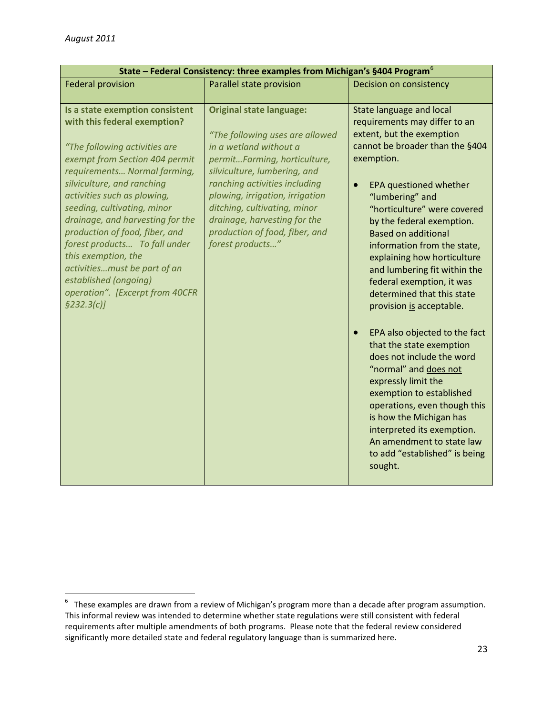| State - Federal Consistency: three examples from Michigan's §404 Program <sup>6</sup>                                                                                                                                                                                                                                                                                                                                                                                                                   |                                                                                                                                                                                                                                                                                                                                                        |                                                                                                                                                                                                                                                                                                                                                                                                                                                                                                                                                                                                                                                                                                                                                                                                                    |
|---------------------------------------------------------------------------------------------------------------------------------------------------------------------------------------------------------------------------------------------------------------------------------------------------------------------------------------------------------------------------------------------------------------------------------------------------------------------------------------------------------|--------------------------------------------------------------------------------------------------------------------------------------------------------------------------------------------------------------------------------------------------------------------------------------------------------------------------------------------------------|--------------------------------------------------------------------------------------------------------------------------------------------------------------------------------------------------------------------------------------------------------------------------------------------------------------------------------------------------------------------------------------------------------------------------------------------------------------------------------------------------------------------------------------------------------------------------------------------------------------------------------------------------------------------------------------------------------------------------------------------------------------------------------------------------------------------|
| <b>Federal provision</b>                                                                                                                                                                                                                                                                                                                                                                                                                                                                                | Parallel state provision                                                                                                                                                                                                                                                                                                                               | Decision on consistency                                                                                                                                                                                                                                                                                                                                                                                                                                                                                                                                                                                                                                                                                                                                                                                            |
| Is a state exemption consistent<br>with this federal exemption?<br>"The following activities are<br>exempt from Section 404 permit<br>requirements Normal farming,<br>silviculture, and ranching<br>activities such as plowing,<br>seeding, cultivating, minor<br>drainage, and harvesting for the<br>production of food, fiber, and<br>forest products To fall under<br>this exemption, the<br>activitiesmust be part of an<br>established (ongoing)<br>operation". [Excerpt from 40CFR<br>\$232.3(c)] | <b>Original state language:</b><br>"The following uses are allowed<br>in a wetland without a<br>permitFarming, horticulture,<br>silviculture, lumbering, and<br>ranching activities including<br>plowing, irrigation, irrigation<br>ditching, cultivating, minor<br>drainage, harvesting for the<br>production of food, fiber, and<br>forest products" | <b>State language and local</b><br>requirements may differ to an<br>extent, but the exemption<br>cannot be broader than the §404<br>exemption.<br>EPA questioned whether<br>"lumbering" and<br>"horticulture" were covered<br>by the federal exemption.<br><b>Based on additional</b><br>information from the state,<br>explaining how horticulture<br>and lumbering fit within the<br>federal exemption, it was<br>determined that this state<br>provision is acceptable.<br>EPA also objected to the fact<br>that the state exemption<br>does not include the word<br>"normal" and does not<br>expressly limit the<br>exemption to established<br>operations, even though this<br>is how the Michigan has<br>interpreted its exemption.<br>An amendment to state law<br>to add "established" is being<br>sought. |

<span id="page-23-0"></span><sup>-&</sup>lt;br>6  $6$  These examples are drawn from a review of Michigan's program more than a decade after program assumption. This informal review was intended to determine whether state regulations were still consistent with federal requirements after multiple amendments of both programs. Please note that the federal review considered significantly more detailed state and federal regulatory language than is summarized here.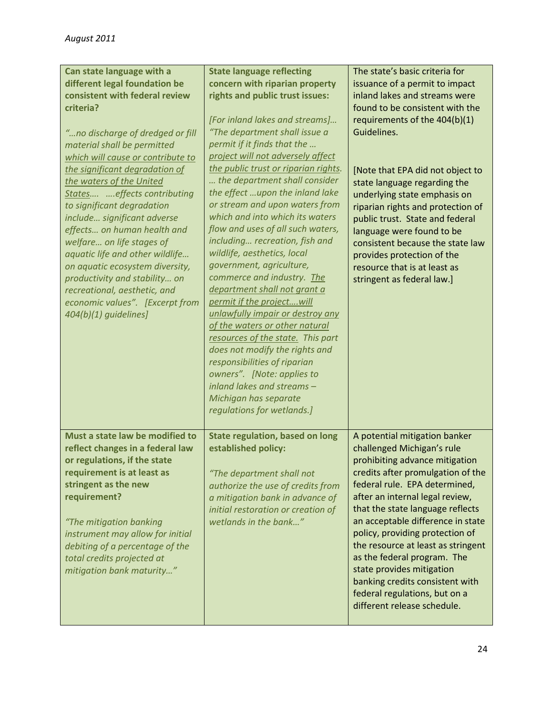| Can state language with a<br>different legal foundation be<br>consistent with federal review<br>criteria?<br>"no discharge of dredged or fill<br>material shall be permitted<br>which will cause or contribute to<br>the significant degradation of<br>the waters of the United<br>States  effects contributing<br>to significant degradation<br>include significant adverse<br>effects on human health and<br>welfare on life stages of<br>aquatic life and other wildlife<br>on aquatic ecosystem diversity,<br>productivity and stability on<br>recreational, aesthetic, and<br>economic values". [Excerpt from<br>404(b)(1) quidelines] | <b>State language reflecting</b><br>concern with riparian property<br>rights and public trust issues:<br>[For inland lakes and streams]<br>"The department shall issue a<br>permit if it finds that the<br>project will not adversely affect<br>the public trust or riparian rights.<br>the department shall consider<br>the effect upon the inland lake<br>or stream and upon waters from<br>which and into which its waters<br>flow and uses of all such waters,<br>including recreation, fish and<br>wildlife, aesthetics, local<br>government, agriculture,<br>commerce and industry. The<br>department shall not grant a<br>permit if the projectwill<br>unlawfully impair or destroy any<br>of the waters or other natural<br>resources of the state. This part<br>does not modify the rights and | The state's basic criteria for<br>issuance of a permit to impact<br>inland lakes and streams were<br>found to be consistent with the<br>requirements of the 404(b)(1)<br>Guidelines.<br>[Note that EPA did not object to<br>state language regarding the<br>underlying state emphasis on<br>riparian rights and protection of<br>public trust. State and federal<br>language were found to be<br>consistent because the state law<br>provides protection of the<br>resource that is at least as<br>stringent as federal law.] |
|---------------------------------------------------------------------------------------------------------------------------------------------------------------------------------------------------------------------------------------------------------------------------------------------------------------------------------------------------------------------------------------------------------------------------------------------------------------------------------------------------------------------------------------------------------------------------------------------------------------------------------------------|---------------------------------------------------------------------------------------------------------------------------------------------------------------------------------------------------------------------------------------------------------------------------------------------------------------------------------------------------------------------------------------------------------------------------------------------------------------------------------------------------------------------------------------------------------------------------------------------------------------------------------------------------------------------------------------------------------------------------------------------------------------------------------------------------------|-------------------------------------------------------------------------------------------------------------------------------------------------------------------------------------------------------------------------------------------------------------------------------------------------------------------------------------------------------------------------------------------------------------------------------------------------------------------------------------------------------------------------------|
| Must a state law be modified to<br>reflect changes in a federal law<br>or regulations, if the state<br>requirement is at least as<br>stringent as the new<br>requirement?<br>"The mitigation banking<br>instrument may allow for initial<br>debiting of a percentage of the<br>total credits projected at<br>mitigation bank maturity"                                                                                                                                                                                                                                                                                                      | owners". [Note: applies to<br>inland lakes and streams -<br>Michigan has separate<br>regulations for wetlands.]<br><b>State regulation, based on long</b><br>established policy:<br>"The department shall not<br>authorize the use of credits from<br>a mitigation bank in advance of<br>initial restoration or creation of<br>wetlands in the bank"                                                                                                                                                                                                                                                                                                                                                                                                                                                    | A potential mitigation banker<br>challenged Michigan's rule<br>prohibiting advance mitigation<br>credits after promulgation of the<br>federal rule. EPA determined,<br>after an internal legal review,<br>that the state language reflects<br>an acceptable difference in state<br>policy, providing protection of<br>the resource at least as stringent<br>as the federal program. The<br>state provides mitigation<br>banking credits consistent with<br>federal regulations, but on a<br>different release schedule.       |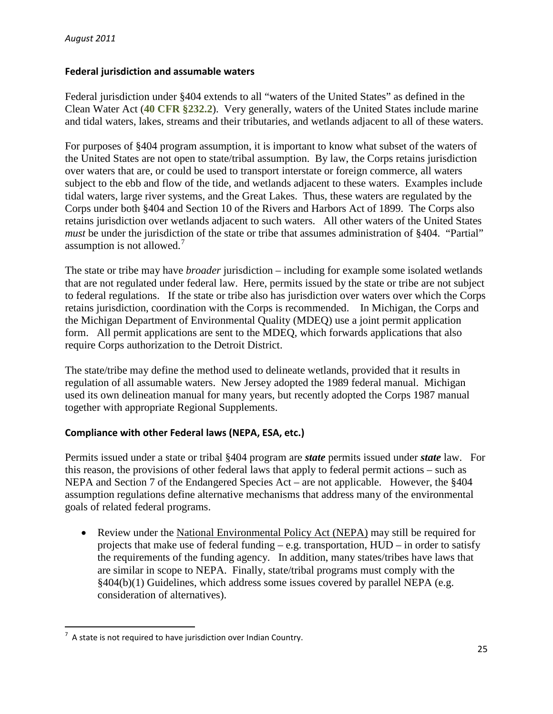#### **Federal jurisdiction and assumable waters**

Federal jurisdiction under §404 extends to all "waters of the United States" as defined in the Clean Water Act (**40 CFR §232.2**). Very generally, waters of the United States include marine and tidal waters, lakes, streams and their tributaries, and wetlands adjacent to all of these waters.

For purposes of §404 program assumption, it is important to know what subset of the waters of the United States are not open to state/tribal assumption. By law, the Corps retains jurisdiction over waters that are, or could be used to transport interstate or foreign commerce, all waters subject to the ebb and flow of the tide, and wetlands adjacent to these waters. Examples include tidal waters, large river systems, and the Great Lakes. Thus, these waters are regulated by the Corps under both §404 and Section 10 of the Rivers and Harbors Act of 1899. The Corps also retains jurisdiction over wetlands adjacent to such waters. All other waters of the United States *must* be under the jurisdiction of the state or tribe that assumes administration of §404. "Partial" assumption is not allowed. [7](#page-25-0)

The state or tribe may have *broader* jurisdiction – including for example some isolated wetlands that are not regulated under federal law. Here, permits issued by the state or tribe are not subject to federal regulations. If the state or tribe also has jurisdiction over waters over which the Corps retains jurisdiction, coordination with the Corps is recommended. In Michigan, the Corps and the Michigan Department of Environmental Quality (MDEQ) use a joint permit application form. All permit applications are sent to the MDEQ, which forwards applications that also require Corps authorization to the Detroit District.

The state/tribe may define the method used to delineate wetlands, provided that it results in regulation of all assumable waters. New Jersey adopted the 1989 federal manual. Michigan used its own delineation manual for many years, but recently adopted the Corps 1987 manual together with appropriate Regional Supplements.

#### **Compliance with other Federal laws (NEPA, ESA, etc.)**

Permits issued under a state or tribal §404 program are *state* permits issued under *state* law. For this reason, the provisions of other federal laws that apply to federal permit actions – such as NEPA and Section 7 of the Endangered Species Act – are not applicable. However, the §404 assumption regulations define alternative mechanisms that address many of the environmental goals of related federal programs.

• Review under the National Environmental Policy Act (NEPA) may still be required for projects that make use of federal funding – e.g. transportation, HUD – in order to satisfy the requirements of the funding agency. In addition, many states/tribes have laws that are similar in scope to NEPA. Finally, state/tribal programs must comply with the §404(b)(1) Guidelines, which address some issues covered by parallel NEPA (e.g. consideration of alternatives).

<span id="page-25-0"></span> $\frac{1}{7}$  $^7$  A state is not required to have jurisdiction over Indian Country.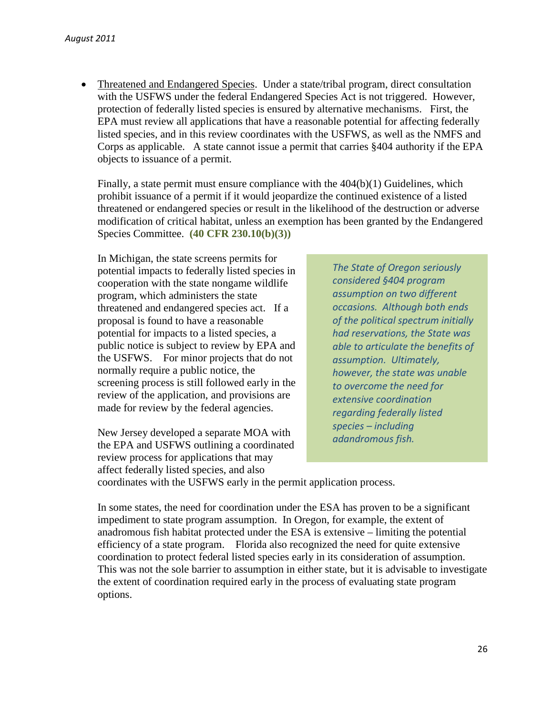• Threatened and Endangered Species. Under a state/tribal program, direct consultation with the USFWS under the federal Endangered Species Act is not triggered. However, protection of federally listed species is ensured by alternative mechanisms. First, the EPA must review all applications that have a reasonable potential for affecting federally listed species, and in this review coordinates with the USFWS, as well as the NMFS and Corps as applicable. A state cannot issue a permit that carries §404 authority if the EPA objects to issuance of a permit.

Finally, a state permit must ensure compliance with the 404(b)(1) Guidelines, which prohibit issuance of a permit if it would jeopardize the continued existence of a listed threatened or endangered species or result in the likelihood of the destruction or adverse modification of critical habitat, unless an exemption has been granted by the Endangered Species Committee. **(40 CFR 230.10(b)(3))**

In Michigan, the state screens permits for potential impacts to federally listed species in cooperation with the state nongame wildlife program, which administers the state threatened and endangered species act. If a proposal is found to have a reasonable potential for impacts to a listed species, a public notice is subject to review by EPA and the USFWS. For minor projects that do not normally require a public notice, the screening process is still followed early in the review of the application, and provisions are made for review by the federal agencies.

New Jersey developed a separate MOA with the EPA and USFWS outlining a coordinated review process for applications that may affect federally listed species, and also

*The State of Oregon seriously considered §404 program assumption on two different occasions. Although both ends of the political spectrum initially had reservations, the State was able to articulate the benefits of assumption. Ultimately, however, the state was unable to overcome the need for extensive coordination regarding federally listed species – including adandromous fish.* 

coordinates with the USFWS early in the permit application process.

In some states, the need for coordination under the ESA has proven to be a significant impediment to state program assumption. In Oregon, for example, the extent of anadromous fish habitat protected under the ESA is extensive – limiting the potential efficiency of a state program. Florida also recognized the need for quite extensive coordination to protect federal listed species early in its consideration of assumption. This was not the sole barrier to assumption in either state, but it is advisable to investigate the extent of coordination required early in the process of evaluating state program options.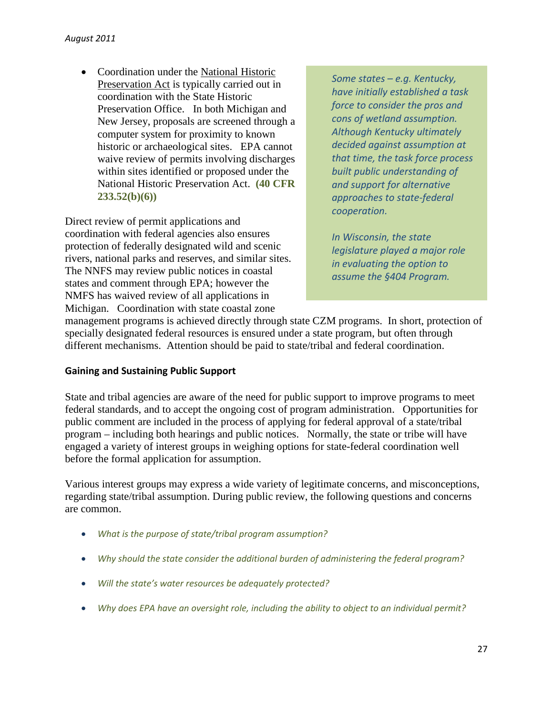• Coordination under the National Historic Preservation Act is typically carried out in coordination with the State Historic Preservation Office. In both Michigan and New Jersey, proposals are screened through a computer system for proximity to known historic or archaeological sites. EPA cannot waive review of permits involving discharges within sites identified or proposed under the National Historic Preservation Act. **(40 CFR 233.52(b)(6))**

Direct review of permit applications and coordination with federal agencies also ensures protection of federally designated wild and scenic rivers, national parks and reserves, and similar sites. The NNFS may review public notices in coastal states and comment through EPA; however the NMFS has waived review of all applications in Michigan. Coordination with state coastal zone

*Some states – e.g. Kentucky, have initially established a task force to consider the pros and cons of wetland assumption. Although Kentucky ultimately decided against assumption at that time, the task force process built public understanding of and support for alternative approaches to state-federal cooperation.*

*In Wisconsin, the state legislature played a major role in evaluating the option to assume the §404 Program.*

management programs is achieved directly through state CZM programs. In short, protection of specially designated federal resources is ensured under a state program, but often through different mechanisms. Attention should be paid to state/tribal and federal coordination.

#### **Gaining and Sustaining Public Support**

State and tribal agencies are aware of the need for public support to improve programs to meet federal standards, and to accept the ongoing cost of program administration. Opportunities for public comment are included in the process of applying for federal approval of a state/tribal program – including both hearings and public notices. Normally, the state or tribe will have engaged a variety of interest groups in weighing options for state-federal coordination well before the formal application for assumption.

Various interest groups may express a wide variety of legitimate concerns, and misconceptions, regarding state/tribal assumption. During public review, the following questions and concerns are common.

- *What is the purpose of state/tribal program assumption?*
- *Why should the state consider the additional burden of administering the federal program?*
- *Will the state's water resources be adequately protected?*
- *Why does EPA have an oversight role, including the ability to object to an individual permit?*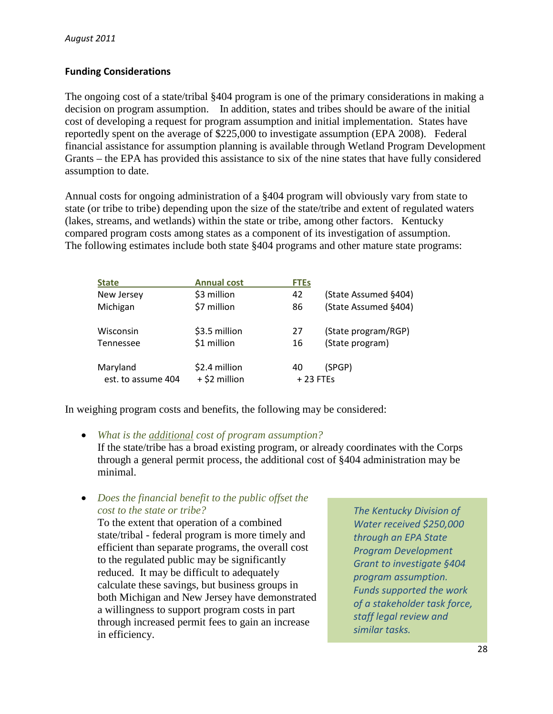## **Funding Considerations**

The ongoing cost of a state/tribal §404 program is one of the primary considerations in making a decision on program assumption. In addition, states and tribes should be aware of the initial cost of developing a request for program assumption and initial implementation. States have reportedly spent on the average of \$225,000 to investigate assumption (EPA 2008). Federal financial assistance for assumption planning is available through Wetland Program Development Grants – the EPA has provided this assistance to six of the nine states that have fully considered assumption to date.

Annual costs for ongoing administration of a §404 program will obviously vary from state to state (or tribe to tribe) depending upon the size of the state/tribe and extent of regulated waters (lakes, streams, and wetlands) within the state or tribe, among other factors. Kentucky compared program costs among states as a component of its investigation of assumption. The following estimates include both state §404 programs and other mature state programs:

| <b>State</b>                   | <b>Annual cost</b>             | <b>FTEs</b>      |                      |
|--------------------------------|--------------------------------|------------------|----------------------|
| New Jersey                     | \$3 million                    | 42               | (State Assumed §404) |
| Michigan                       | \$7 million                    | 86               | (State Assumed §404) |
| Wisconsin                      | \$3.5 million                  | 27               | (State program/RGP)  |
| Tennessee                      | \$1 million                    | 16               | (State program)      |
| Maryland<br>est. to assume 404 | \$2.4 million<br>+ \$2 million | 40<br>$+23$ FTEs | (SPGP)               |

In weighing program costs and benefits, the following may be considered:

#### • *What is the additional cost of program assumption?*

If the state/tribe has a broad existing program, or already coordinates with the Corps through a general permit process, the additional cost of §404 administration may be minimal.

• *Does the financial benefit to the public offset the cost to the state or tribe?*

To the extent that operation of a combined state/tribal - federal program is more timely and efficient than separate programs, the overall cost to the regulated public may be significantly reduced. It may be difficult to adequately calculate these savings, but business groups in both Michigan and New Jersey have demonstrated a willingness to support program costs in part through increased permit fees to gain an increase in efficiency.

*The Kentucky Division of Water received \$250,000 through an EPA State Program Development Grant to investigate §404 program assumption. Funds supported the work of a stakeholder task force, staff legal review and similar tasks.*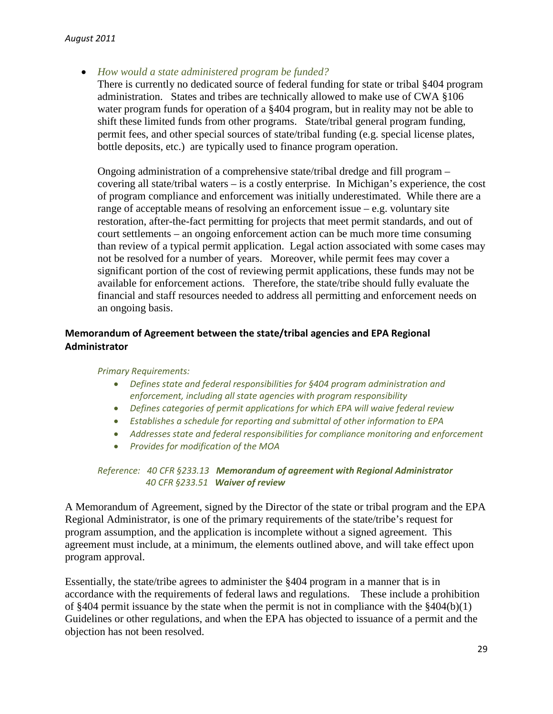• *How would a state administered program be funded?*

There is currently no dedicated source of federal funding for state or tribal §404 program administration. States and tribes are technically allowed to make use of CWA §106 water program funds for operation of a §404 program, but in reality may not be able to shift these limited funds from other programs. State/tribal general program funding, permit fees, and other special sources of state/tribal funding (e.g. special license plates, bottle deposits, etc.) are typically used to finance program operation.

Ongoing administration of a comprehensive state/tribal dredge and fill program – covering all state/tribal waters – is a costly enterprise. In Michigan's experience, the cost of program compliance and enforcement was initially underestimated. While there are a range of acceptable means of resolving an enforcement issue – e.g. voluntary site restoration, after-the-fact permitting for projects that meet permit standards, and out of court settlements – an ongoing enforcement action can be much more time consuming than review of a typical permit application. Legal action associated with some cases may not be resolved for a number of years. Moreover, while permit fees may cover a significant portion of the cost of reviewing permit applications, these funds may not be available for enforcement actions. Therefore, the state/tribe should fully evaluate the financial and staff resources needed to address all permitting and enforcement needs on an ongoing basis.

# **Memorandum of Agreement between the state/tribal agencies and EPA Regional Administrator**

#### *Primary Requirements:*

- *Defines state and federal responsibilities for §404 program administration and enforcement, including all state agencies with program responsibility*
- *Defines categories of permit applications for which EPA will waive federal review*
- *Establishes a schedule for reporting and submittal of other information to EPA*
- *Addresses state and federal responsibilities for compliance monitoring and enforcement*
- *Provides for modification of the MOA*

#### *Reference: 40 CFR §233.13 Memorandum of agreement with Regional Administrator 40 CFR §233.51 Waiver of review*

A Memorandum of Agreement, signed by the Director of the state or tribal program and the EPA Regional Administrator, is one of the primary requirements of the state/tribe's request for program assumption, and the application is incomplete without a signed agreement. This agreement must include, at a minimum, the elements outlined above, and will take effect upon program approval.

Essentially, the state/tribe agrees to administer the §404 program in a manner that is in accordance with the requirements of federal laws and regulations. These include a prohibition of §404 permit issuance by the state when the permit is not in compliance with the §404(b)(1) Guidelines or other regulations, and when the EPA has objected to issuance of a permit and the objection has not been resolved.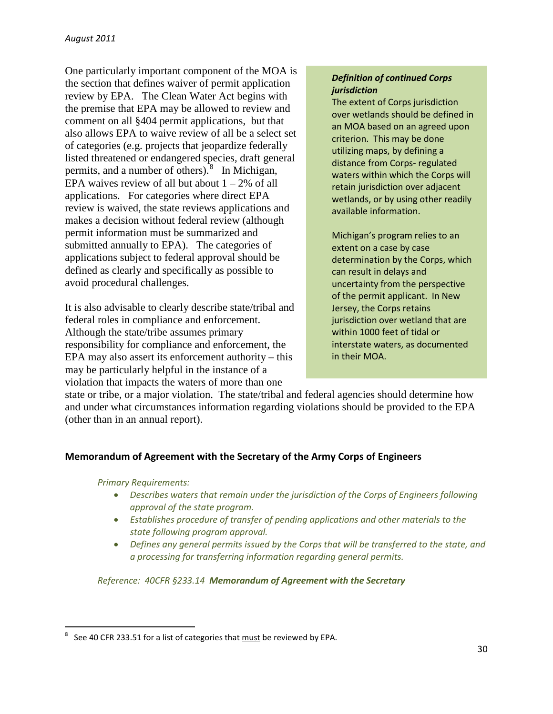One particularly important component of the MOA is the section that defines waiver of permit application review by EPA. The Clean Water Act begins with the premise that EPA may be allowed to review and comment on all §404 permit applications, but that also allows EPA to waive review of all be a select set of categories (e.g. projects that jeopardize federally listed threatened or endangered species, draft general permits, and a number of others). $8 \text{ In Michigan}$  $8 \text{ In Michigan}$ , EPA waives review of all but about  $1 - 2\%$  of all applications. For categories where direct EPA review is waived, the state reviews applications and makes a decision without federal review (although permit information must be summarized and submitted annually to EPA). The categories of applications subject to federal approval should be defined as clearly and specifically as possible to avoid procedural challenges.

It is also advisable to clearly describe state/tribal and federal roles in compliance and enforcement. Although the state/tribe assumes primary responsibility for compliance and enforcement, the EPA may also assert its enforcement authority – this may be particularly helpful in the instance of a violation that impacts the waters of more than one

## *Definition of continued Corps jurisdiction*

The extent of Corps jurisdiction over wetlands should be defined in an MOA based on an agreed upon criterion. This may be done utilizing maps, by defining a distance from Corps- regulated waters within which the Corps will retain jurisdiction over adjacent wetlands, or by using other readily available information.

Michigan's program relies to an extent on a case by case determination by the Corps, which can result in delays and uncertainty from the perspective of the permit applicant. In New Jersey, the Corps retains jurisdiction over wetland that are within 1000 feet of tidal or interstate waters, as documented in their MOA.

state or tribe, or a major violation. The state/tribal and federal agencies should determine how and under what circumstances information regarding violations should be provided to the EPA (other than in an annual report).

# **Memorandum of Agreement with the Secretary of the Army Corps of Engineers**

*Primary Requirements:*

- *Describes waters that remain under the jurisdiction of the Corps of Engineers following approval of the state program.*
- *Establishes procedure of transfer of pending applications and other materials to the state following program approval.*
- *Defines any general permits issued by the Corps that will be transferred to the state, and a processing for transferring information regarding general permits.*

*Reference: 40CFR §233.14 Memorandum of Agreement with the Secretary*

<span id="page-30-0"></span> $\frac{1}{8}$  $8<sup>8</sup>$  See 40 CFR 233.51 for a list of categories that  $\frac{\text{must}}{\text{must}}$  be reviewed by EPA.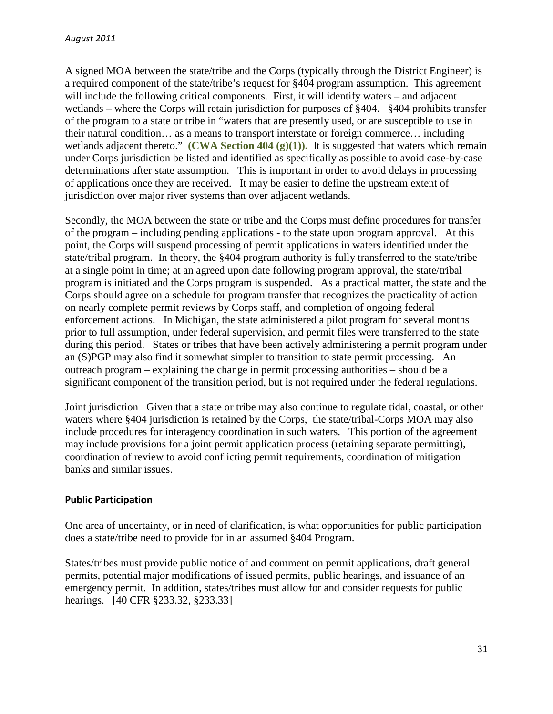A signed MOA between the state/tribe and the Corps (typically through the District Engineer) is a required component of the state/tribe's request for §404 program assumption. This agreement will include the following critical components. First, it will identify waters – and adjacent wetlands – where the Corps will retain jurisdiction for purposes of §404. §404 prohibits transfer of the program to a state or tribe in "waters that are presently used, or are susceptible to use in their natural condition… as a means to transport interstate or foreign commerce… including wetlands adjacent thereto." **(CWA Section 404 (g)(1)).** It is suggested that waters which remain under Corps jurisdiction be listed and identified as specifically as possible to avoid case-by-case determinations after state assumption. This is important in order to avoid delays in processing of applications once they are received. It may be easier to define the upstream extent of jurisdiction over major river systems than over adjacent wetlands.

Secondly, the MOA between the state or tribe and the Corps must define procedures for transfer of the program – including pending applications - to the state upon program approval. At this point, the Corps will suspend processing of permit applications in waters identified under the state/tribal program. In theory, the §404 program authority is fully transferred to the state/tribe at a single point in time; at an agreed upon date following program approval, the state/tribal program is initiated and the Corps program is suspended. As a practical matter, the state and the Corps should agree on a schedule for program transfer that recognizes the practicality of action on nearly complete permit reviews by Corps staff, and completion of ongoing federal enforcement actions. In Michigan, the state administered a pilot program for several months prior to full assumption, under federal supervision, and permit files were transferred to the state during this period. States or tribes that have been actively administering a permit program under an (S)PGP may also find it somewhat simpler to transition to state permit processing. An outreach program – explaining the change in permit processing authorities – should be a significant component of the transition period, but is not required under the federal regulations.

Joint jurisdiction Given that a state or tribe may also continue to regulate tidal, coastal, or other waters where §404 jurisdiction is retained by the Corps, the state/tribal-Corps MOA may also include procedures for interagency coordination in such waters. This portion of the agreement may include provisions for a joint permit application process (retaining separate permitting), coordination of review to avoid conflicting permit requirements, coordination of mitigation banks and similar issues.

#### **Public Participation**

One area of uncertainty, or in need of clarification, is what opportunities for public participation does a state/tribe need to provide for in an assumed §404 Program.

States/tribes must provide public notice of and comment on permit applications, draft general permits, potential major modifications of issued permits, public hearings, and issuance of an emergency permit. In addition, states/tribes must allow for and consider requests for public hearings. [40 CFR §233.32, §233.33]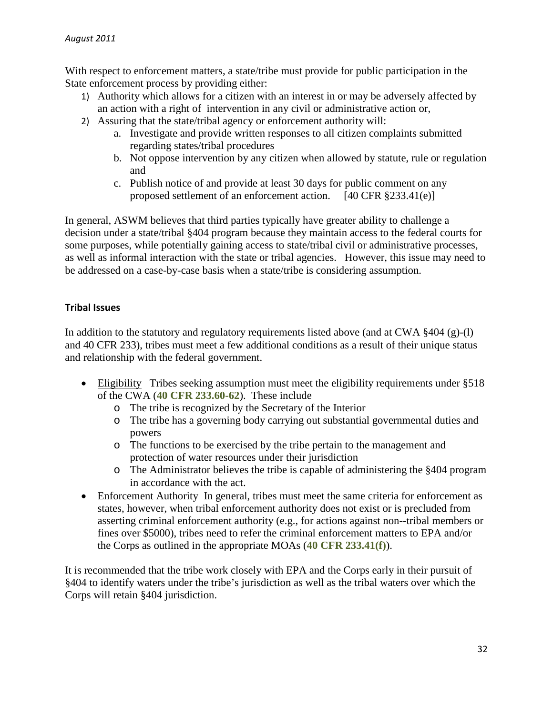With respect to enforcement matters, a state/tribe must provide for public participation in the State enforcement process by providing either:

- 1) Authority which allows for a citizen with an interest in or may be adversely affected by an action with a right of intervention in any civil or administrative action or,
- 2) Assuring that the state/tribal agency or enforcement authority will:
	- a. Investigate and provide written responses to all citizen complaints submitted regarding states/tribal procedures
	- b. Not oppose intervention by any citizen when allowed by statute, rule or regulation and
	- c. Publish notice of and provide at least 30 days for public comment on any proposed settlement of an enforcement action. [40 CFR §233.41(e)]

In general, ASWM believes that third parties typically have greater ability to challenge a decision under a state/tribal §404 program because they maintain access to the federal courts for some purposes, while potentially gaining access to state/tribal civil or administrative processes, as well as informal interaction with the state or tribal agencies. However, this issue may need to be addressed on a case-by-case basis when a state/tribe is considering assumption.

# **Tribal Issues**

In addition to the statutory and regulatory requirements listed above (and at CWA §404 (g)-(l) and 40 CFR 233), tribes must meet a few additional conditions as a result of their unique status and relationship with the federal government.

- Eligibility Tribes seeking assumption must meet the eligibility requirements under §518 of the CWA (**40 CFR 233.60-62**). These include
	- o The tribe is recognized by the Secretary of the Interior
	- o The tribe has a governing body carrying out substantial governmental duties and powers
	- o The functions to be exercised by the tribe pertain to the management and protection of water resources under their jurisdiction
	- o The Administrator believes the tribe is capable of administering the §404 program in accordance with the act.
- Enforcement Authority In general, tribes must meet the same criteria for enforcement as states, however, when tribal enforcement authority does not exist or is precluded from asserting criminal enforcement authority (e.g., for actions against non--tribal members or fines over \$5000), tribes need to refer the criminal enforcement matters to EPA and/or the Corps as outlined in the appropriate MOAs (**40 CFR 233.41(f)**).

It is recommended that the tribe work closely with EPA and the Corps early in their pursuit of §404 to identify waters under the tribe's jurisdiction as well as the tribal waters over which the Corps will retain §404 jurisdiction.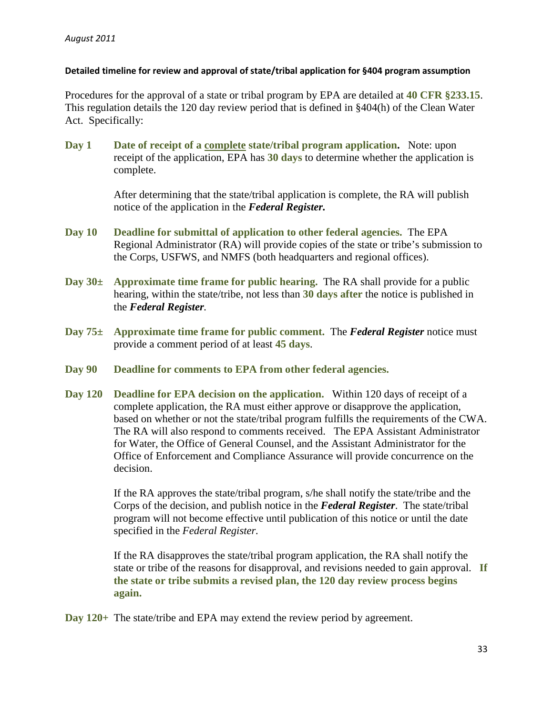#### **Detailed timeline for review and approval of state/tribal application for §404 program assumption**

Procedures for the approval of a state or tribal program by EPA are detailed at **40 CFR §233.15**. This regulation details the 120 day review period that is defined in §404(h) of the Clean Water Act. Specifically:

**Day 1 Date of receipt of a complete state/tribal program application.** Note: upon receipt of the application, EPA has **30 days** to determine whether the application is complete.

> After determining that the state/tribal application is complete, the RA will publish notice of the application in the *Federal Register.*

- **Day 10 Deadline for submittal of application to other federal agencies.** The EPA Regional Administrator (RA) will provide copies of the state or tribe's submission to the Corps, USFWS, and NMFS (both headquarters and regional offices).
- **Day 30± Approximate time frame for public hearing.** The RA shall provide for a public hearing, within the state/tribe, not less than **30 days after** the notice is published in the *Federal Register.*
- **Day 75± Approximate time frame for public comment.** The *Federal Register* notice must provide a comment period of at least **45 days**.
- **Day 90 Deadline for comments to EPA from other federal agencies.**
- **Day 120 Deadline for EPA decision on the application.** Within 120 days of receipt of a complete application, the RA must either approve or disapprove the application, based on whether or not the state/tribal program fulfills the requirements of the CWA. The RA will also respond to comments received. The EPA Assistant Administrator for Water, the Office of General Counsel, and the Assistant Administrator for the Office of Enforcement and Compliance Assurance will provide concurrence on the decision.

If the RA approves the state/tribal program, s/he shall notify the state/tribe and the Corps of the decision, and publish notice in the *Federal Register*. The state/tribal program will not become effective until publication of this notice or until the date specified in the *Federal Register.*

If the RA disapproves the state/tribal program application, the RA shall notify the state or tribe of the reasons for disapproval, and revisions needed to gain approval. **If the state or tribe submits a revised plan, the 120 day review process begins again.**

**Day 120+** The state/tribe and EPA may extend the review period by agreement.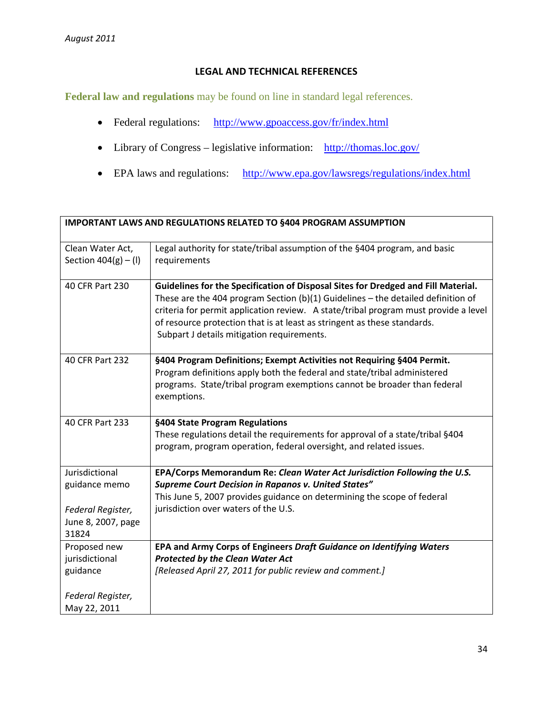#### **LEGAL AND TECHNICAL REFERENCES**

**Federal law and regulations** may be found on line in standard legal references.

- Federal regulations: <http://www.gpoaccess.gov/fr/index.html>
- Library of Congress legislative information: <http://thomas.loc.gov/>
- EPA laws and regulations: <http://www.epa.gov/lawsregs/regulations/index.html>

| <b>IMPORTANT LAWS AND REGULATIONS RELATED TO §404 PROGRAM ASSUMPTION</b>            |                                                                                                                                                                                                                                                                                                                                                                                          |
|-------------------------------------------------------------------------------------|------------------------------------------------------------------------------------------------------------------------------------------------------------------------------------------------------------------------------------------------------------------------------------------------------------------------------------------------------------------------------------------|
| Clean Water Act,<br>Section $404(g) - (1)$                                          | Legal authority for state/tribal assumption of the §404 program, and basic<br>requirements                                                                                                                                                                                                                                                                                               |
| 40 CFR Part 230                                                                     | Guidelines for the Specification of Disposal Sites for Dredged and Fill Material.<br>These are the 404 program Section (b)(1) Guidelines $-$ the detailed definition of<br>criteria for permit application review. A state/tribal program must provide a level<br>of resource protection that is at least as stringent as these standards.<br>Subpart J details mitigation requirements. |
| 40 CFR Part 232                                                                     | §404 Program Definitions; Exempt Activities not Requiring §404 Permit.<br>Program definitions apply both the federal and state/tribal administered<br>programs. State/tribal program exemptions cannot be broader than federal<br>exemptions.                                                                                                                                            |
| 40 CFR Part 233                                                                     | §404 State Program Regulations<br>These regulations detail the requirements for approval of a state/tribal §404<br>program, program operation, federal oversight, and related issues.                                                                                                                                                                                                    |
| Jurisdictional<br>guidance memo<br>Federal Register,<br>June 8, 2007, page<br>31824 | EPA/Corps Memorandum Re: Clean Water Act Jurisdiction Following the U.S.<br><b>Supreme Court Decision in Rapanos v. United States"</b><br>This June 5, 2007 provides guidance on determining the scope of federal<br>jurisdiction over waters of the U.S.                                                                                                                                |
| Proposed new<br>jurisdictional<br>guidance<br>Federal Register,<br>May 22, 2011     | EPA and Army Corps of Engineers Draft Guidance on Identifying Waters<br><b>Protected by the Clean Water Act</b><br>[Released April 27, 2011 for public review and comment.]                                                                                                                                                                                                              |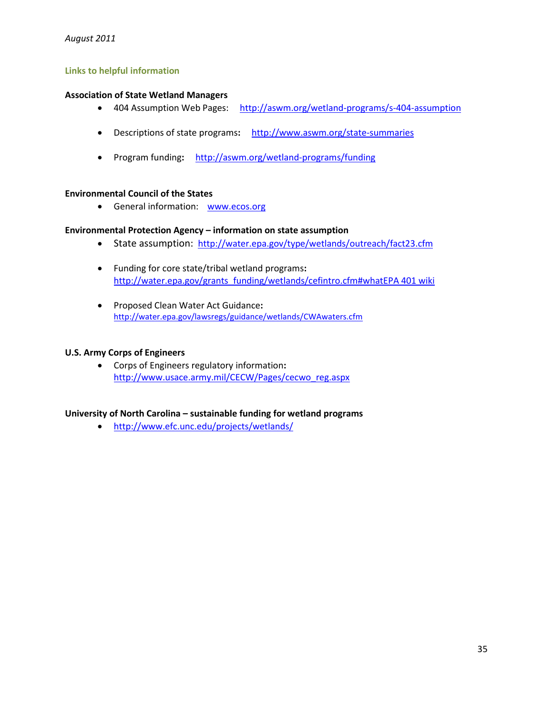#### **Links to helpful information**

#### **Association of State Wetland Managers**

- 404 Assumption Web Pages: <http://aswm.org/wetland-programs/s-404-assumption>
- Descriptions of state programs**:** <http://www.aswm.org/state-summaries>
- Program funding**:**<http://aswm.org/wetland-programs/funding>

#### **Environmental Council of the States**

• General information: [www.ecos.org](http://www.ecos.org/)

#### **Environmental Protection Agency – information on state assumption**

- State assumption: <http://water.epa.gov/type/wetlands/outreach/fact23.cfm>
- Funding for core state/tribal wetland programs**:**  [http://water.epa.gov/grants\\_funding/wetlands/cefintro.cfm#whatEPA 401 wiki](http://water.epa.gov/grants_funding/wetlands/cefintro.cfm%23whatEPA%20401%20wiki)
- Proposed Clean Water Act Guidance**:** <http://water.epa.gov/lawsregs/guidance/wetlands/CWAwaters.cfm>

#### **U.S. Army Corps of Engineers**

• Corps of Engineers regulatory information**:**  [http://www.usace.army.mil/CECW/Pages/cecwo\\_reg.aspx](http://www.usace.army.mil/CECW/Pages/cecwo_reg.aspx)

#### **University of North Carolina – sustainable funding for wetland programs**

• <http://www.efc.unc.edu/projects/wetlands/>